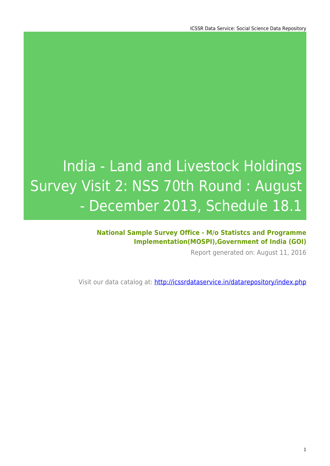# India - Land and Livestock Holdings Survey Visit 2: NSS 70th Round : August - December 2013, Schedule 18.1

### **National Sample Survey Office - M/o Statistcs and Programme Implementation(MOSPI),Government of India (GOI)**

Report generated on: August 11, 2016

Visit our data catalog at: http://icssrdataservice.in/datarepository/index.php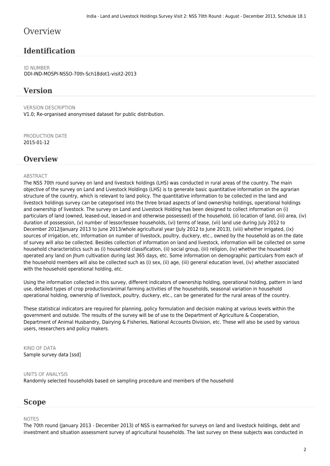### **Overview**

### **Identification**

ID NUMBER DDI-IND-MOSPI-NSSO-70th-Sch18dot1-visit2-2013

### **Version**

VERSION DESCRIPTION V1.0; Re-organised anonymised dataset for public distribution.

PRODUCTION DATE 2015-01-12

#### **Overview**

#### **ABSTRACT**

The NSS 70th round survey on land and livestock holdings (LHS) was conducted in rural areas of the country. The main objective of the survey on Land and Livestock Holdings (LHS) is to generate basic quantitative information on the agrarian structure of the country, which is relevant to land policy. The quantitative information to be collected in the land and livestock holdings survey can be categorised into the three broad aspects of land ownership holdings, operational holdings and ownership of livestock. The survey on Land and Livestock Holding has been designed to collect information on (i) particulars of land (owned, leased-out, leased-in and otherwise possessed) of the household, (ii) location of land, (iii) area, (iv) duration of possession, (v) number of lessor/lessee households, (vi) terms of lease, (vii) land use during July 2012 to December 2012/January 2013 to June 2013/whole agricultural year (July 2012 to June 2013), (viii) whether irrigated, (ix) sources of irrigation, etc. Information on number of livestock, poultry, duckery, etc., owned by the household as on the date of survey will also be collected. Besides collection of information on land and livestock, information will be collected on some household characteristics such as (i) household classification, (ii) social group, (iii) religion, (iv) whether the household operated any land on Jhum cultivation during last 365 days, etc. Some information on demographic particulars from each of the household members will also be collected such as (i) sex, (ii) age, (iii) general education level, (iv) whether associated with the household operational holding, etc.

Using the information collected in this survey, different indicators of ownership holding, operational holding, pattern in land use, detailed types of crop production/animal farming activities of the households, seasonal variation in household operational holding, ownership of livestock, poultry, duckery, etc., can be generated for the rural areas of the country.

These statistical indicators are required for planning, policy formulation and decision making at various levels within the government and outside. The results of the survey will be of use to the Department of Agriculture & Cooperation, Department of Animal Husbandry, Dairying & Fisheries, National Accounts Division, etc. These will also be used by various users, researchers and policy makers.

KIND OF DATA Sample survey data [ssd]

UNITS OF ANALYSIS Randomly selected households based on sampling procedure and members of the household

#### **Scope**

**NOTES** 

The 70th round (January 2013 - December 2013) of NSS is earmarked for surveys on land and livestock holdings, debt and investment and situation assessment survey of agricultural households. The last survey on these subjects was conducted in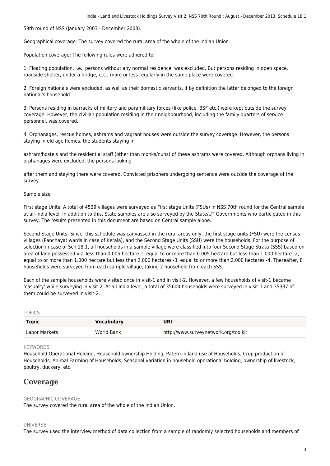59th round of NSS (January 2003 - December 2003).

Geographical coverage: The survey covered the rural area of the whole of the Indian Union.

Population coverage: The following rules were adhered to:

1. Floating population, i.e., persons without any normal residence, was excluded. But persons residing in open space, roadside shelter, under a bridge, etc., more or less regularly in the same place were covered.

2. Foreign nationals were excluded, as well as their domestic servants, if by definition the latter belonged to the foreign national's household.

3. Persons residing in barracks of military and paramilitary forces (like police, BSF etc.) were kept outside the survey coverage. However, the civilian population residing in their neighbourhood, including the family quarters of service personnel, was covered.

4. Orphanages, rescue homes, ashrams and vagrant houses were outside the survey coverage. However, the persons staying in old age homes, the students staying in

ashram/hostels and the residential staff (other than monks/nuns) of these ashrams were covered. Although orphans living in orphanages were excluded, the persons looking

after them and staying there were covered. Convicted prisoners undergoing sentence were outside the coverage of the survey.

#### Sample size

First stage Units: A total of 4529 villages were surveyed as First stage Units (FSUs) in NSS 70th round for the Central sample at all-India level. In addition to this, State samples are also surveyed by the State/UT Governments who participated in this survey. The results presented in this document are based on Central sample alone.

Second Stage Units: Since, this schedule was canvassed in the rural areas only, the first stage units (FSU) were the census villages (Panchayat wards in case of Kerala), and the Second Stage Units (SSU) were the households. For the purpose of selection in case of Sch.18.1, all households in a sample village were classified into four Second Stage Strata (SSS) based on area of land possessed viz. less than 0.005 hectare-1, equal to or more than 0.005 hectare but less than 1.000 hectare -2, equal to or more than 1.000 hectare but less than 2.000 hectares -3, equal to or more than 2.000 hectares -4. Thereafter, 8 households were surveyed from each sample village, taking 2 household from each SSS.

Each of the sample households were visited once in visit-1 and in visit-2. However, a few households of visit-1 became 'casualty' while surveying in visit-2. At all-India level, a total of 35604 households were surveyed in visit-1 and 35337 of them could be surveyed in visit-2.

TOPICS

| <b>Topic</b>  | Vocabulary | URI                                  |
|---------------|------------|--------------------------------------|
| Labor Markets | World Bank | http://www.surveynetwork.org/toolkit |

#### KEYWORDS

Household Operational Holding, Household ownership Holding, Patern in land use of Households, Crop production of Households, Animal Farming of Households, Seasonal variation in household operational holding, ownership of livestock, poultry, duckery, etc

#### **Coverage**

#### GEOGRAPHIC COVERAGE

The survey covered the rural area of the whole of the Indian Union.

#### UNIVERSE

The survey used the interview method of data collection from a sample of randomly selected households and members of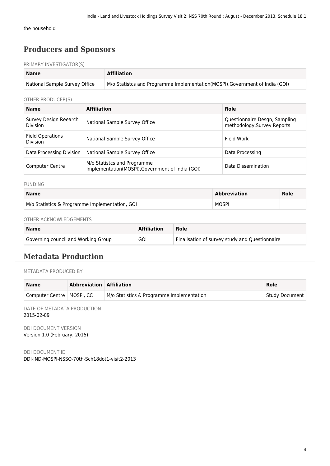### **Producers and Sponsors**

#### PRIMARY INVESTIGATOR(S)

| <b>Name</b>                   | <b>Affiliation</b>                                                           |
|-------------------------------|------------------------------------------------------------------------------|
| National Sample Survey Office | M/o Statistcs and Programme Implementation(MOSPI), Government of India (GOI) |

#### OTHER PRODUCER(S)

| <b>Name</b>                                | <b>Affiliation</b>                                                              | Role                                                         |
|--------------------------------------------|---------------------------------------------------------------------------------|--------------------------------------------------------------|
| Survey Design Reearch<br><b>Division</b>   | National Sample Survey Office                                                   | Questionnaire Desgn, Sampling<br>methodology, Survey Reports |
| <b>Field Operations</b><br><b>Division</b> | National Sample Survey Office                                                   | Field Work                                                   |
| Data Processing Division                   | National Sample Survey Office                                                   | Data Processing                                              |
| Computer Centre                            | M/o Statistcs and Programme<br>Implementation(MOSPI), Government of India (GOI) | Data Dissemination                                           |

FUNDING

| <b>Name</b>                                    | <b>Abbreviation</b> | Role |
|------------------------------------------------|---------------------|------|
| M/o Statistics & Programme Implementation, GOI | MOSPI               |      |

#### OTHER ACKNOWLEDGEMENTS

| <b>Name</b>                         | <b>Affiliation</b> | Role                                           |
|-------------------------------------|--------------------|------------------------------------------------|
| Governing council and Working Group | GOI                | Finalisation of survey study and Questionnaire |

### **Metadata Production**

METADATA PRODUCED BY

| <b>Name</b>                 | Abbreviation Affiliation |                                           | <b>Role</b>    |
|-----------------------------|--------------------------|-------------------------------------------|----------------|
| Computer Centre   MOSPI, CC |                          | M/o Statistics & Programme Implementation | Study Document |

DATE OF METADATA PRODUCTION 2015-02-09

DDI DOCUMENT VERSION Version 1.0 (February, 2015)

DDI DOCUMENT ID DDI-IND-MOSPI-NSSO-70th-Sch18dot1-visit2-2013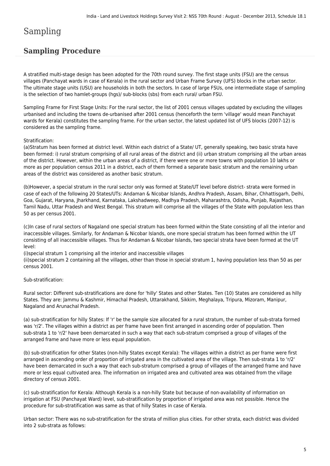# Sampling

### **Sampling Procedure**

A stratified multi-stage design has been adopted for the 70th round survey. The first stage units (FSU) are the census villages (Panchayat wards in case of Kerala) in the rural sector and Urban Frame Survey (UFS) blocks in the urban sector. The ultimate stage units (USU) are households in both the sectors. In case of large FSUs, one intermediate stage of sampling is the selection of two hamlet-groups (hgs)/ sub-blocks (sbs) from each rural/ urban FSU.

Sampling Frame for First Stage Units: For the rural sector, the list of 2001 census villages updated by excluding the villages urbanised and including the towns de-urbanised after 2001 census (henceforth the term 'village' would mean Panchayat wards for Kerala) constitutes the sampling frame. For the urban sector, the latest updated list of UFS blocks (2007-12) is considered as the sampling frame.

#### Stratification:

(a)Stratum has been formed at district level. Within each district of a State/ UT, generally speaking, two basic strata have been formed: i) rural stratum comprising of all rural areas of the district and (ii) urban stratum comprising all the urban areas of the district. However, within the urban areas of a district, if there were one or more towns with population 10 lakhs or more as per population census 2011 in a district, each of them formed a separate basic stratum and the remaining urban areas of the district was considered as another basic stratum.

(b)However, a special stratum in the rural sector only was formed at State/UT level before district- strata were formed in case of each of the following 20 States/UTs: Andaman & Nicobar Islands, Andhra Pradesh, Assam, Bihar, Chhattisgarh, Delhi, Goa, Gujarat, Haryana, Jharkhand, Karnataka, Lakshadweep, Madhya Pradesh, Maharashtra, Odisha, Punjab, Rajasthan, Tamil Nadu, Uttar Pradesh and West Bengal. This stratum will comprise all the villages of the State with population less than 50 as per census 2001.

(c)In case of rural sectors of Nagaland one special stratum has been formed within the State consisting of all the interior and inaccessible villages. Similarly, for Andaman & Nicobar Islands, one more special stratum has been formed within the UT consisting of all inaccessible villages. Thus for Andaman & Nicobar Islands, two special strata have been formed at the UT level:

(i)special stratum 1 comprising all the interior and inaccessible villages

(ii)special stratum 2 containing all the villages, other than those in special stratum 1, having population less than 50 as per census 2001.

#### Sub-stratification:

Rural sector: Different sub-stratifications are done for 'hilly' States and other States. Ten (10) States are considered as hilly States. They are: Jammu & Kashmir, Himachal Pradesh, Uttarakhand, Sikkim, Meghalaya, Tripura, Mizoram, Manipur, Nagaland and Arunachal Pradesh.

(a) sub-stratification for hilly States: If 'r' be the sample size allocated for a rural stratum, the number of sub-strata formed was 'r/2'. The villages within a district as per frame have been first arranged in ascending order of population. Then sub-strata 1 to 'r/2' have been demarcated in such a way that each sub-stratum comprised a group of villages of the arranged frame and have more or less equal population.

(b) sub-stratification for other States (non-hilly States except Kerala): The villages within a district as per frame were first arranged in ascending order of proportion of irrigated area in the cultivated area of the village. Then sub-strata 1 to 'r/2' have been demarcated in such a way that each sub-stratum comprised a group of villages of the arranged frame and have more or less equal cultivated area. The information on irrigated area and cultivated area was obtained from the village directory of census 2001.

(c) sub-stratification for Kerala: Although Kerala is a non-hilly State but because of non-availability of information on irrigation at FSU (Panchayat Ward) level, sub-stratification by proportion of irrigated area was not possible. Hence the procedure for sub-stratification was same as that of hilly States in case of Kerala.

Urban sector: There was no sub-stratification for the strata of million plus cities. For other strata, each district was divided into 2 sub-strata as follows: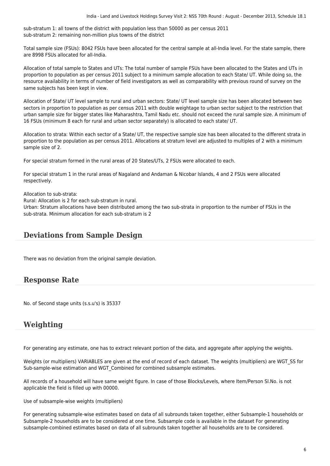sub-stratum 1: all towns of the district with population less than 50000 as per census 2011 sub-stratum 2: remaining non-million plus towns of the district

Total sample size (FSUs): 8042 FSUs have been allocated for the central sample at all-India level. For the state sample, there are 8998 FSUs allocated for all-India.

Allocation of total sample to States and UTs: The total number of sample FSUs have been allocated to the States and UTs in proportion to population as per census 2011 subject to a minimum sample allocation to each State/ UT. While doing so, the resource availability in terms of number of field investigators as well as comparability with previous round of survey on the same subjects has been kept in view.

Allocation of State/ UT level sample to rural and urban sectors: State/ UT level sample size has been allocated between two sectors in proportion to population as per census 2011 with double weightage to urban sector subject to the restriction that urban sample size for bigger states like Maharashtra, Tamil Nadu etc. should not exceed the rural sample size. A minimum of 16 FSUs (minimum 8 each for rural and urban sector separately) is allocated to each state/ UT.

Allocation to strata: Within each sector of a State/ UT, the respective sample size has been allocated to the different strata in proportion to the population as per census 2011. Allocations at stratum level are adjusted to multiples of 2 with a minimum sample size of 2.

For special stratum formed in the rural areas of 20 States/UTs, 2 FSUs were allocated to each.

For special stratum 1 in the rural areas of Nagaland and Andaman & Nicobar Islands, 4 and 2 FSUs were allocated respectively.

Allocation to sub-strata:

Rural: Allocation is 2 for each sub-stratum in rural.

Urban: Stratum allocations have been distributed among the two sub-strata in proportion to the number of FSUs in the sub-strata. Minimum allocation for each sub-stratum is 2

### **Deviations from Sample Design**

There was no deviation from the original sample deviation.

### **Response Rate**

No. of Second stage units (s.s.u's) is 35337

### **Weighting**

For generating any estimate, one has to extract relevant portion of the data, and aggregate after applying the weights.

Weights (or multipliers) VARIABLES are given at the end of record of each dataset. The weights (multipliers) are WGT\_SS for Sub-sample-wise estimation and WGT\_Combined for combined subsample estimates.

All records of a household will have same weight figure. In case of those Blocks/Levels, where Item/Person Sl.No. is not applicable the field is filled up with 00000.

Use of subsample-wise weights (multipliers)

For generating subsample-wise estimates based on data of all subrounds taken together, either Subsample-1 households or Subsample-2 households are to be considered at one time. Subsample code is available in the dataset For generating subsample-combined estimates based on data of all subrounds taken together all households are to be considered.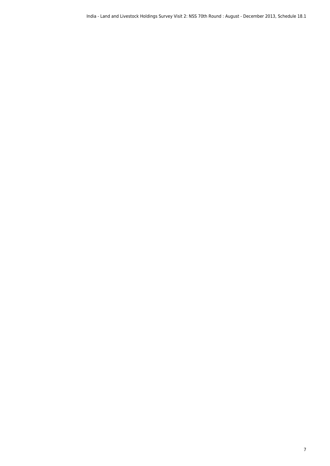India - Land and Livestock Holdings Survey Visit 2: NSS 70th Round : August - December 2013, Schedule 18.1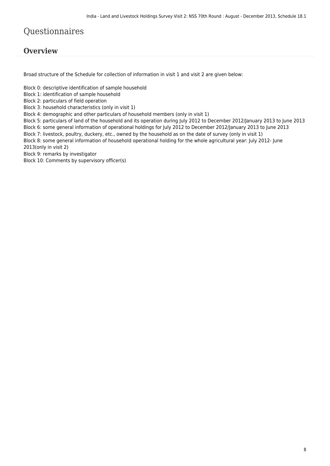# Questionnaires

### **Overview**

Broad structure of the Schedule for collection of information in visit 1 and visit 2 are given below:

Block 0: descriptive identification of sample household

Block 1: identification of sample household

Block 2: particulars of field operation

Block 3: household characteristics (only in visit 1)

Block 4: demographic and other particulars of household members (only in visit 1)

Block 5: particulars of land of the household and its operation during July 2012 to December 2012/January 2013 to June 2013

Block 6: some general information of operational holdings for July 2012 to December 2012/January 2013 to June 2013

Block 7: livestock, poultry, duckery, etc., owned by the household as on the date of survey (only in visit 1)

Block 8: some general information of household operational holding for the whole agricultural year: July 2012- June 2013(only in visit 2)

Block 9: remarks by investigator

Block 10: Comments by supervisory officer(s)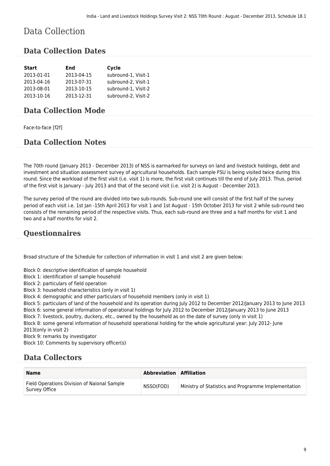# Data Collection

### **Data Collection Dates**

| <b>Start</b> | <b>End</b> | Cycle               |
|--------------|------------|---------------------|
| 2013-01-01   | 2013-04-15 | subround-1, Visit-1 |
| 2013-04-16   | 2013-07-31 | subround-2. Visit-1 |
| 2013-08-01   | 2013-10-15 | subround-1. Visit-2 |
| 2013-10-16   | 2013-12-31 | subround-2, Visit-2 |

### **Data Collection Mode**

Face-to-face [f2f]

### **Data Collection Notes**

The 70th round (January 2013 - December 2013) of NSS is earmarked for surveys on land and livestock holdings, debt and investment and situation assessment survey of agricultural households. Each sample FSU is being visited twice during this round. Since the workload of the first visit (i.e. visit 1) is more, the first visit continues till the end of July 2013. Thus, period of the first visit is January - July 2013 and that of the second visit (i.e. visit 2) is August - December 2013.

The survey period of the round are divided into two sub-rounds. Sub-round one will consist of the first half of the survey period of each visit i.e. 1st Jan -15th April 2013 for visit 1 and 1st August - 15th October 2013 for visit 2 while sub-round two consists of the remaining period of the respective visits. Thus, each sub-round are three and a half months for visit 1 and two and a half months for visit 2.

### **Questionnaires**

Broad structure of the Schedule for collection of information in visit 1 and visit 2 are given below:

Block 0: descriptive identification of sample household

Block 1: identification of sample household

Block 2: particulars of field operation

Block 3: household characteristics (only in visit 1)

Block 4: demographic and other particulars of household members (only in visit 1)

Block 5: particulars of land of the household and its operation during July 2012 to December 2012/January 2013 to June 2013

Block 6: some general information of operational holdings for July 2012 to December 2012/January 2013 to June 2013

Block 7: livestock, poultry, duckery, etc., owned by the household as on the date of survey (only in visit 1)

Block 8: some general information of household operational holding for the whole agricultural year: July 2012- June 2013(only in visit 2)

Block 9: remarks by investigator

Block 10: Comments by supervisory officer(s)

### **Data Collectors**

| <b>Name</b>                                                  | Abbreviation Affiliation |                                                     |
|--------------------------------------------------------------|--------------------------|-----------------------------------------------------|
| Field Operations Division of Naional Sample<br>Survey Office | NSSO(FOD)                | Ministry of Statistics and Programme Implementation |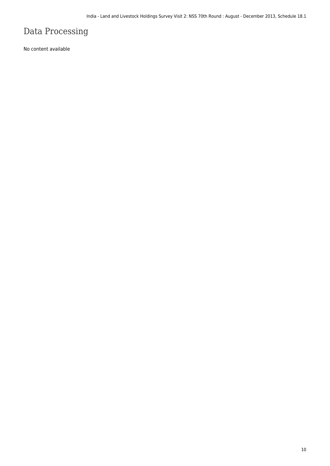# Data Processing

No content available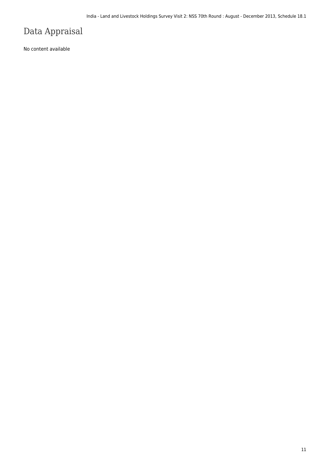# Data Appraisal

No content available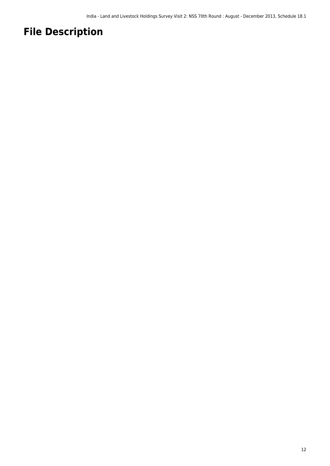# **File Description**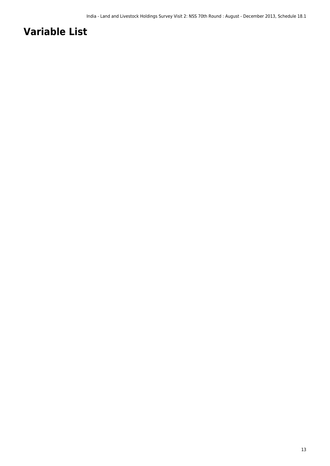# **Variable List**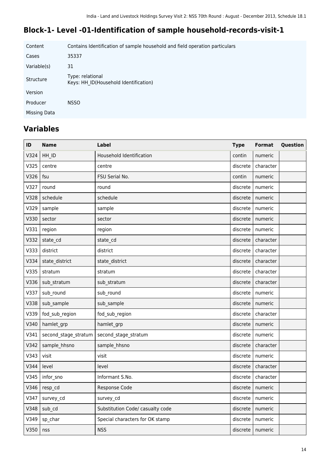### **Block-1- Level -01-Identification of sample household-records-visit-1**

| Content      | Contains Identification of sample household and field operation particulars |
|--------------|-----------------------------------------------------------------------------|
| Cases        | 35337                                                                       |
| Variable(s)  | 31                                                                          |
| Structure    | Type: relational<br>Keys: HH ID(Household Identification)                   |
| Version      |                                                                             |
| Producer     | <b>NSSO</b>                                                                 |
| Missing Data |                                                                             |

| ID   | <b>Name</b>          | <b>Label</b>                     | <b>Type</b> | <b>Format</b>      | Question |
|------|----------------------|----------------------------------|-------------|--------------------|----------|
| V324 | HH_ID                | Household Identification         | contin      | numeric            |          |
| V325 | centre               | centre                           | discrete    | character          |          |
| V326 | fsu                  | FSU Serial No.                   | contin      | numeric            |          |
| V327 | round                | round                            | discrete    | numeric            |          |
| V328 | schedule             | schedule                         | discrete    | numeric            |          |
| V329 | sample               | sample                           | discrete    | numeric            |          |
| V330 | sector               | sector                           | discrete    | numeric            |          |
| V331 | region               | region                           | discrete    | numeric            |          |
| V332 | state_cd             | state_cd                         | discrete    | character          |          |
| V333 | district             | district                         | discrete    | character          |          |
| V334 | state_district       | state_district                   | discrete    | character          |          |
| V335 | stratum              | stratum                          | discrete    | character          |          |
| V336 | sub_stratum          | sub stratum                      | discrete    | character          |          |
| V337 | sub_round            | sub_round                        | discrete    | numeric            |          |
| V338 | sub_sample           | sub_sample                       | discrete    | numeric            |          |
| V339 | fod_sub_region       | fod_sub_region                   | discrete    | character          |          |
| V340 | hamlet_grp           | hamlet_grp                       | discrete    | numeric            |          |
| V341 | second_stage_stratum | second_stage_stratum             | discrete    | numeric            |          |
| V342 | sample_hhsno         | sample_hhsno                     | discrete    | character          |          |
| V343 | visit                | visit                            | discrete    | numeric            |          |
| V344 | level                | level                            | discrete    | character          |          |
| V345 | infor_sno            | Informant S.No.                  | discrete    | character          |          |
|      | $V346$ resp_cd       | Response Code                    |             | discrete   numeric |          |
| V347 | survey_cd            | survey cd                        | discrete    | numeric            |          |
| V348 | sub_cd               | Substitution Code/ casualty code | discrete    | numeric            |          |
| V349 | sp_char              | Special characters for OK stamp  | discrete    | numeric            |          |
| V350 | nss                  | <b>NSS</b>                       | discrete    | numeric            |          |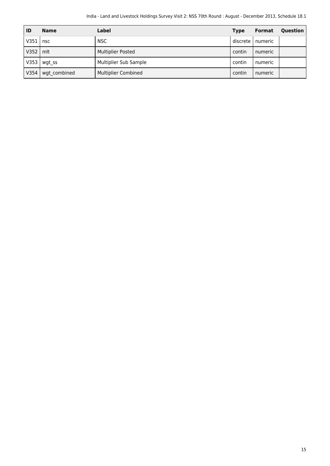India - Land and Livestock Holdings Survey Visit 2: NSS 70th Round : August - December 2013, Schedule 18.1

| ID   | <b>Name</b>  | Label                        | <b>Type</b> | Format             | Question |
|------|--------------|------------------------------|-------------|--------------------|----------|
| V351 | <b>nsc</b>   | <b>NSC</b>                   |             | discrete   numeric |          |
| V352 | mlt          | <b>Multiplier Posted</b>     | contin      | numeric            |          |
| V353 | wgt ss       | <b>Multiplier Sub Sample</b> | contin      | numeric            |          |
| V354 | wgt combined | <b>Multiplier Combined</b>   | contin      | numeric            |          |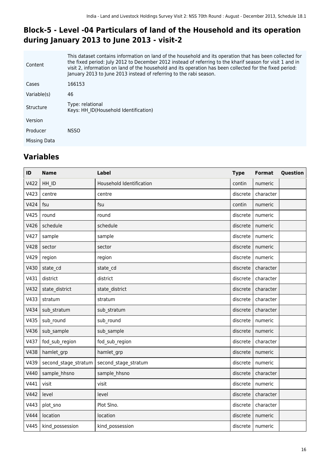### **Block-5 - Level -04 Particulars of land of the Household and its operation during January 2013 to June 2013 - visit-2**

| Content      | This dataset contains information on land of the household and its operation that has been collected for<br>the fixed period: July 2012 to December 2012 instead of referring to the kharif season for visit 1 and in<br>visit 2, information on land of the household and its operation has been collected for the fixed period:<br>January 2013 to June 2013 instead of referring to the rabi season. |
|--------------|---------------------------------------------------------------------------------------------------------------------------------------------------------------------------------------------------------------------------------------------------------------------------------------------------------------------------------------------------------------------------------------------------------|
| Cases        | 166153                                                                                                                                                                                                                                                                                                                                                                                                  |
| Variable(s)  | 46                                                                                                                                                                                                                                                                                                                                                                                                      |
| Structure    | Type: relational<br>Keys: HH ID(Household Identification)                                                                                                                                                                                                                                                                                                                                               |
| Version      |                                                                                                                                                                                                                                                                                                                                                                                                         |
| Producer     | <b>NSSO</b>                                                                                                                                                                                                                                                                                                                                                                                             |
| Missing Data |                                                                                                                                                                                                                                                                                                                                                                                                         |

| ID   | <b>Name</b>          | <b>Label</b>             | <b>Type</b> | <b>Format</b> | Question |
|------|----------------------|--------------------------|-------------|---------------|----------|
| V422 | HH_ID                | Household Identification | contin      | numeric       |          |
| V423 | centre               | centre                   | discrete    | character     |          |
| V424 | fsu                  | fsu                      | contin      | numeric       |          |
| V425 | round                | round                    | discrete    | numeric       |          |
| V426 | schedule             | schedule                 | discrete    | numeric       |          |
| V427 | sample               | sample                   | discrete    | numeric       |          |
| V428 | sector               | sector                   | discrete    | numeric       |          |
| V429 | region               | region                   | discrete    | numeric       |          |
| V430 | state_cd             | state_cd                 | discrete    | character     |          |
| V431 | district             | district                 | discrete    | character     |          |
| V432 | state_district       | state_district           | discrete    | character     |          |
| V433 | stratum              | stratum                  | discrete    | character     |          |
| V434 | sub_stratum          | sub_stratum              | discrete    | character     |          |
| V435 | sub_round            | sub_round                | discrete    | numeric       |          |
| V436 | sub sample           | sub sample               | discrete    | numeric       |          |
| V437 | fod sub region       | fod_sub_region           | discrete    | character     |          |
| V438 | hamlet grp           | hamlet grp               | discrete    | numeric       |          |
| V439 | second_stage_stratum | second_stage_stratum     | discrete    | numeric       |          |
| V440 | sample_hhsno         | sample_hhsno             | discrete    | character     |          |
| V441 | visit                | visit                    | discrete    | numeric       |          |
| V442 | level                | level                    | discrete    | character     |          |
| V443 | plot_sno             | Plot Slno.               | discrete    | character     |          |
| V444 | location             | location                 | discrete    | numeric       |          |
| V445 | kind_possession      | kind_possession          | discrete    | numeric       |          |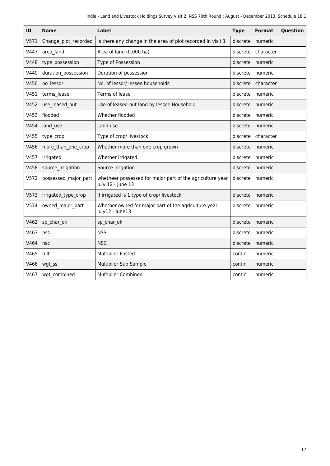| ID   | <b>Name</b>          | Label                                                                          | <b>Type</b> | <b>Format</b> | Question |
|------|----------------------|--------------------------------------------------------------------------------|-------------|---------------|----------|
| V571 | Change plot recorded | Is there any change in the area of plot recorded in visit 1                    | discrete    | numeric       |          |
| V447 | area land            | Area of land (0.000 ha)                                                        | discrete    | character     |          |
| V448 | type possession      | Type of Possession                                                             | discrete    | numeric       |          |
| V449 | duration possession  | Duration of possession                                                         | discrete    | numeric       |          |
| V450 | no lessor            | No. of lessor/ lessee households                                               | discrete    | character     |          |
| V451 | terms lease          | Terms of lease                                                                 | discrete    | numeric       |          |
| V452 | use leased out       | Use of leased-out land by lessee Household                                     | discrete    | numeric       |          |
| V453 | flooded              | Whether flooded                                                                | discrete    | numeric       |          |
| V454 | land use             | Land use                                                                       | discrete    | numeric       |          |
| V455 | type_crop            | Type of crop/ livestock                                                        | discrete    | character     |          |
| V456 | more than one crop   | Whether more than one crop grown                                               | discrete    | numeric       |          |
| V457 | irrigated            | Whether irrigated                                                              | discrete    | numeric       |          |
| V458 | source irrigation    | Source irrigation                                                              | discrete    | numeric       |          |
| V572 | possessed major part | whetheer possessed for major part of the agriculture year<br>July 12 - June 13 | discrete    | numeric       |          |
| V573 | irrigated type crop  | If irrigated is 1 type of crop/ livestock                                      | discrete    | numeric       |          |
| V574 | owned major part     | Whether owned for major part of the agriculture year<br>july12 - June13        | discrete    | numeric       |          |
| V462 | sp char ok           | sp char ok                                                                     | discrete    | numeric       |          |
| V463 | nss                  | <b>NSS</b>                                                                     | discrete    | numeric       |          |
| V464 | nsc                  | <b>NSC</b>                                                                     | discrete    | numeric       |          |
| V465 | mlt                  | <b>Multiplier Posted</b>                                                       | contin      | numeric       |          |
| V466 | wgt ss               | Multiplier Sub Sample                                                          | contin      | numeric       |          |
| V467 | wgt combined         | <b>Multiplier Combined</b>                                                     | contin      | numeric       |          |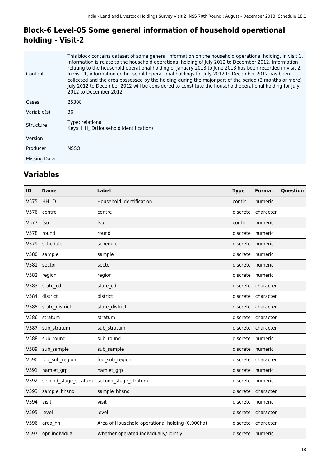### **Block-6 Level-05 Some general information of household operational holding - Visit-2**

| Content      | This block contains dataset of some general information on the household operational holding. In visit 1,<br>information is relate to the household operational holding of July 2012 to December 2012. Information<br>relating to the household operational holding of January 2013 to June 2013 has been recorded in visit 2.<br>In visit 1, information on household operational holdings for July 2012 to December 2012 has been<br>collected and the area possessed by the holding during the major part of the period (3 months or more)<br>July 2012 to December 2012 will be considered to constitute the household operational holding for July<br>2012 to December 2012. |
|--------------|-----------------------------------------------------------------------------------------------------------------------------------------------------------------------------------------------------------------------------------------------------------------------------------------------------------------------------------------------------------------------------------------------------------------------------------------------------------------------------------------------------------------------------------------------------------------------------------------------------------------------------------------------------------------------------------|
| Cases        | 25308                                                                                                                                                                                                                                                                                                                                                                                                                                                                                                                                                                                                                                                                             |
| Variable(s)  | 36                                                                                                                                                                                                                                                                                                                                                                                                                                                                                                                                                                                                                                                                                |
| Structure    | Type: relational<br>Keys: HH ID(Household Identification)                                                                                                                                                                                                                                                                                                                                                                                                                                                                                                                                                                                                                         |
| Version      |                                                                                                                                                                                                                                                                                                                                                                                                                                                                                                                                                                                                                                                                                   |
| Producer     | <b>NSSO</b>                                                                                                                                                                                                                                                                                                                                                                                                                                                                                                                                                                                                                                                                       |
| Missing Data |                                                                                                                                                                                                                                                                                                                                                                                                                                                                                                                                                                                                                                                                                   |

| ID   | <b>Name</b>          | <b>Label</b>                                    | <b>Type</b> | <b>Format</b> | Question |
|------|----------------------|-------------------------------------------------|-------------|---------------|----------|
| V575 | HH ID                | Household Identification                        | contin      | numeric       |          |
| V576 | centre               | centre                                          | discrete    | character     |          |
| V577 | fsu                  | fsu                                             | contin      | numeric       |          |
| V578 | round                | round                                           | discrete    | numeric       |          |
| V579 | schedule             | schedule                                        | discrete    | numeric       |          |
| V580 | sample               | sample                                          | discrete    | numeric       |          |
| V581 | sector               | sector                                          | discrete    | numeric       |          |
| V582 | region               | region                                          | discrete    | numeric       |          |
| V583 | state cd             | state cd                                        | discrete    | character     |          |
| V584 | district             | district                                        | discrete    | character     |          |
| V585 | state district       | state district                                  | discrete    | character     |          |
| V586 | stratum              | stratum                                         | discrete    | character     |          |
| V587 | sub stratum          | sub stratum                                     | discrete    | character     |          |
| V588 | sub round            | sub round                                       | discrete    | numeric       |          |
| V589 | sub sample           | sub sample                                      | discrete    | numeric       |          |
| V590 | fod_sub_region       | fod_sub_region                                  | discrete    | character     |          |
| V591 | hamlet_grp           | hamlet_grp                                      | discrete    | numeric       |          |
| V592 | second stage stratum | second stage stratum                            | discrete    | numeric       |          |
| V593 | sample hhsno         | sample_hhsno                                    | discrete    | character     |          |
| V594 | visit                | visit                                           | discrete    | numeric       |          |
| V595 | level                | level                                           | discrete    | character     |          |
| V596 | area_hh              | Area of Household operational holding (0.000ha) | discrete    | character     |          |
| V597 | opr individual       | Whether operated individually/ jointly          | discrete    | numeric       |          |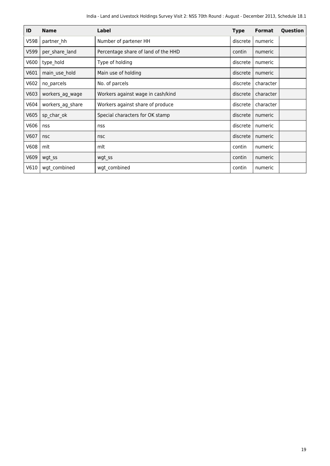| ID   | <b>Name</b>      | Label                               | <b>Type</b> | <b>Format</b> | Question |
|------|------------------|-------------------------------------|-------------|---------------|----------|
| V598 | partner hh       | Number of partener HH               | discrete    | numeric       |          |
| V599 | per share land   | Percentage share of land of the HHD | contin      | numeric       |          |
| V600 | type hold        | Type of holding                     | discrete    | numeric       |          |
| V601 | main use hold    | Main use of holding                 | discrete    | numeric       |          |
| V602 | no parcels       | No. of parcels                      | discrete    | character     |          |
| V603 | workers ag wage  | Workers against wage in cash/kind   | discrete    | character     |          |
| V604 | workers ag share | Workers against share of produce    | discrete    | character     |          |
| V605 | sp_char_ok       | Special characters for OK stamp     | discrete    | numeric       |          |
| V606 | nss              | nss                                 | discrete    | numeric       |          |
| V607 | nsc              | nsc                                 | discrete    | numeric       |          |
| V608 | mlt              | mlt                                 | contin      | numeric       |          |
| V609 | wgt_ss           | wgt_ss                              | contin      | numeric       |          |
| V610 | wgt combined     | wgt_combined                        | contin      | numeric       |          |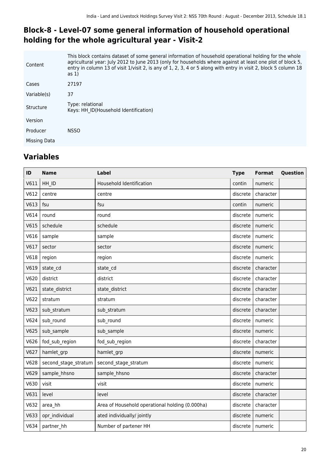### **Block-8 - Level-07 some general information of household operational holding for the whole agricultural year - Visit-2**

| Content      | This block contains dataset of some general information of household operational holding for the whole<br>agricultural year: July 2012 to June 2013 (only for households where against at least one plot of block 5,<br>entry in column 13 of visit 1/visit 2, is any of 1, 2, 3, 4 or 5 along with entry in visit 2, block 5 column 18<br>as $1)$ |
|--------------|----------------------------------------------------------------------------------------------------------------------------------------------------------------------------------------------------------------------------------------------------------------------------------------------------------------------------------------------------|
| Cases        | 27197                                                                                                                                                                                                                                                                                                                                              |
| Variable(s)  | 37                                                                                                                                                                                                                                                                                                                                                 |
| Structure    | Type: relational<br>Keys: HH ID(Household Identification)                                                                                                                                                                                                                                                                                          |
| Version      |                                                                                                                                                                                                                                                                                                                                                    |
| Producer     | <b>NSSO</b>                                                                                                                                                                                                                                                                                                                                        |
| Missing Data |                                                                                                                                                                                                                                                                                                                                                    |

| ID   | <b>Name</b>          | <b>Label</b>                                    | <b>Type</b> | Format    | Question |
|------|----------------------|-------------------------------------------------|-------------|-----------|----------|
| V611 | HH ID                | Household Identification                        | contin      | numeric   |          |
| V612 | centre               | centre                                          | discrete    | character |          |
| V613 | fsu                  | fsu                                             | contin      | numeric   |          |
| V614 | round                | round                                           | discrete    | numeric   |          |
| V615 | schedule             | schedule                                        | discrete    | numeric   |          |
| V616 | sample               | sample                                          | discrete    | numeric   |          |
| V617 | sector               | sector                                          | discrete    | numeric   |          |
| V618 | region               | region                                          | discrete    | numeric   |          |
| V619 | state_cd             | state_cd                                        | discrete    | character |          |
| V620 | district             | district                                        | discrete    | character |          |
| V621 | state_district       | state_district                                  | discrete    | character |          |
| V622 | stratum              | stratum                                         | discrete    | character |          |
| V623 | sub_stratum          | sub_stratum                                     | discrete    | character |          |
| V624 | sub_round            | sub_round                                       | discrete    | numeric   |          |
| V625 | sub_sample           | sub_sample                                      | discrete    | numeric   |          |
| V626 | fod_sub_region       | fod_sub_region                                  | discrete    | character |          |
| V627 | hamlet grp           | hamlet grp                                      | discrete    | numeric   |          |
| V628 | second_stage_stratum | second_stage_stratum                            | discrete    | numeric   |          |
| V629 | sample hhsno         | sample_hhsno                                    | discrete    | character |          |
| V630 | visit                | visit                                           | discrete    | numeric   |          |
| V631 | level                | level                                           | discrete    | character |          |
| V632 | area_hh              | Area of Household operational holding (0.000ha) | discrete    | character |          |
| V633 | opr individual       | ated individually/ jointly                      | discrete    | numeric   |          |
| V634 | partner hh           | Number of partener HH                           | discrete    | numeric   |          |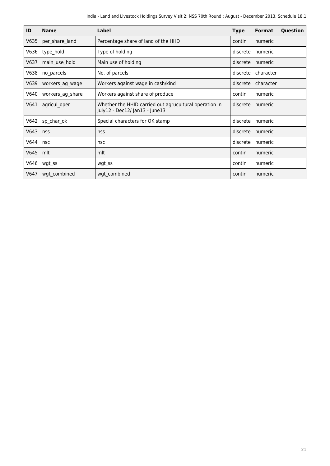| ID   | <b>Name</b>      | Label                                                                                    | <b>Type</b> | <b>Format</b> | Question |
|------|------------------|------------------------------------------------------------------------------------------|-------------|---------------|----------|
| V635 | per share land   | Percentage share of land of the HHD                                                      | contin      | numeric       |          |
| V636 | type hold        | Type of holding                                                                          | discrete    | numeric       |          |
| V637 | main use hold    | Main use of holding                                                                      | discrete    | numeric       |          |
| V638 | no parcels       | No. of parcels                                                                           | discrete    | character     |          |
| V639 | workers ag wage  | Workers against wage in cash/kind                                                        | discrete    | character     |          |
| V640 | workers ag share | Workers against share of produce                                                         | contin      | numeric       |          |
| V641 | agricul_oper     | Whether the HHID carried out agrucultural operation in<br>July12 - Dec12/ Jan13 - June13 | discrete    | numeric       |          |
| V642 | sp char ok       | Special characters for OK stamp                                                          | discrete    | numeric       |          |
| V643 | nss              | nss                                                                                      | discrete    | numeric       |          |
| V644 | nsc              | nsc                                                                                      | discrete    | numeric       |          |
| V645 | mlt              | mlt                                                                                      | contin      | numeric       |          |
| V646 | wgt_ss           | wgt_ss                                                                                   | contin      | numeric       |          |
| V647 | wgt combined     | wgt combined                                                                             | contin      | numeric       |          |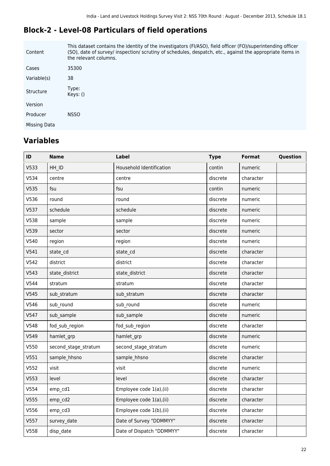### **Block-2 - Level-08 Particulars of field operations**

| Content      | This dataset contains the identity of the investigators (FI/ASO), field officer (FO)/superintending officer<br>(SO), date of survey/ inspection/ scrutiny of schedules, despatch, etc., against the appropriate items in<br>the relevant columns. |
|--------------|---------------------------------------------------------------------------------------------------------------------------------------------------------------------------------------------------------------------------------------------------|
| Cases        | 35300                                                                                                                                                                                                                                             |
| Variable(s)  | 38                                                                                                                                                                                                                                                |
| Structure    | Type:<br>Keys: ()                                                                                                                                                                                                                                 |
| Version      |                                                                                                                                                                                                                                                   |
| Producer     | <b>NSSO</b>                                                                                                                                                                                                                                       |
| Missing Data |                                                                                                                                                                                                                                                   |

| ID   | <b>Name</b>          | <b>Label</b>              | <b>Type</b> | <b>Format</b> | Question |
|------|----------------------|---------------------------|-------------|---------------|----------|
| V533 | HH_ID                | Household Identification  | contin      | numeric       |          |
| V534 | centre               | centre                    | discrete    | character     |          |
| V535 | fsu                  | fsu                       | contin      | numeric       |          |
| V536 | round                | round                     | discrete    | numeric       |          |
| V537 | schedule             | schedule                  | discrete    | numeric       |          |
| V538 | sample               | sample                    | discrete    | numeric       |          |
| V539 | sector               | sector                    | discrete    | numeric       |          |
| V540 | region               | region                    | discrete    | numeric       |          |
| V541 | state_cd             | state_cd                  | discrete    | character     |          |
| V542 | district             | district                  | discrete    | character     |          |
| V543 | state_district       | state_district            | discrete    | character     |          |
| V544 | stratum              | stratum                   | discrete    | character     |          |
| V545 | sub stratum          | sub stratum               | discrete    | character     |          |
| V546 | sub_round            | sub_round                 | discrete    | numeric       |          |
| V547 | sub sample           | sub sample                | discrete    | numeric       |          |
| V548 | fod_sub_region       | fod_sub_region            | discrete    | character     |          |
| V549 | hamlet grp           | hamlet_grp                | discrete    | numeric       |          |
| V550 | second_stage_stratum | second_stage_stratum      | discrete    | numeric       |          |
| V551 | sample_hhsno         | sample_hhsno              | discrete    | character     |          |
| V552 | visit                | visit                     | discrete    | numeric       |          |
| V553 | level                | level                     | discrete    | character     |          |
| V554 | $emp_c d1$           | Employee code 1(a),(ii)   | discrete    | character     |          |
| V555 | emp cd2              | Employee code 1(a),(ii)   | discrete    | character     |          |
| V556 | emp_cd3              | Employee code 1(b),(ii)   | discrete    | character     |          |
| V557 | survey_date          | Date of Survey "DDMMYY"   | discrete    | character     |          |
| V558 | disp date            | Date of Dispatch "DDMMYY" | discrete    | character     |          |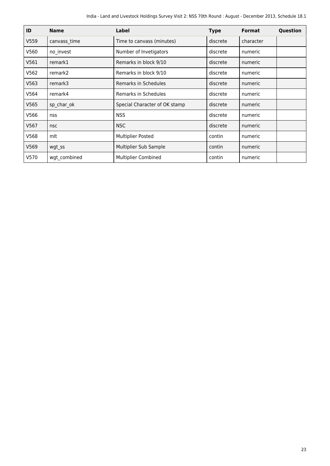| ID               | <b>Name</b>  | Label                         | <b>Type</b> | <b>Format</b> | Question |
|------------------|--------------|-------------------------------|-------------|---------------|----------|
| V <sub>559</sub> | canvass_time | Time to canvass (minutes)     | discrete    | character     |          |
| V560             | no invest    | Number of Invetigators        | discrete    | numeric       |          |
| V561             | remark1      | Remarks in block 9/10         | discrete    | numeric       |          |
| V562             | remark2      | Remarks in block 9/10         | discrete    | numeric       |          |
| V563             | remark3      | Remarks in Schedules          | discrete    | numeric       |          |
| V564             | remark4      | Remarks in Schedules          | discrete    | numeric       |          |
| V565             | sp char ok   | Special Character of OK stamp | discrete    | numeric       |          |
| V566             | nss          | <b>NSS</b>                    | discrete    | numeric       |          |
| V567             | <b>nsc</b>   | <b>NSC</b>                    | discrete    | numeric       |          |
| V568             | mlt          | <b>Multiplier Posted</b>      | contin      | numeric       |          |
| V569             | wgt_ss       | Multiplier Sub Sample         | contin      | numeric       |          |
| V570             | wgt combined | Multiplier Combined           | contin      | numeric       |          |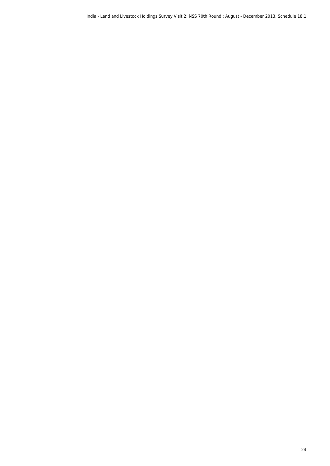India - Land and Livestock Holdings Survey Visit 2: NSS 70th Round : August - December 2013, Schedule 18.1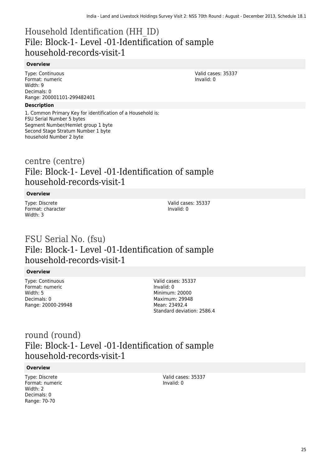# Household Identification (HH\_ID) File: Block-1- Level -01-Identification of sample household-records-visit-1

#### **Overview**

Type: Continuous Format: numeric Width: 9 Decimals: 0 Range: 200001101-299482401

#### **Description**

1. Common Primary Key for identification of a Household is: FSU Serial Number 5 bytes Segment Number/Hemlet group 1 byte Second Stage Stratum Number 1 byte household Number 2 byte

### centre (centre) File: Block-1- Level -01-Identification of sample household-records-visit-1

#### **Overview**

Type: Discrete Format: character Width: 3

Valid cases: 35337 Invalid: 0

### FSU Serial No. (fsu) File: Block-1- Level -01-Identification of sample household-records-visit-1

#### **Overview**

Type: Continuous Format: numeric Width: 5 Decimals: 0 Range: 20000-29948 Valid cases: 35337 Invalid: 0 Minimum: 20000 Maximum: 29948 Mean: 23492.4 Standard deviation: 2586.4

### round (round) File: Block-1- Level -01-Identification of sample household-records-visit-1

#### **Overview**

Type: Discrete Format: numeric Width: 2 Decimals: 0 Range: 70-70

Valid cases: 35337 Invalid: 0

Valid cases: 35337 Invalid: 0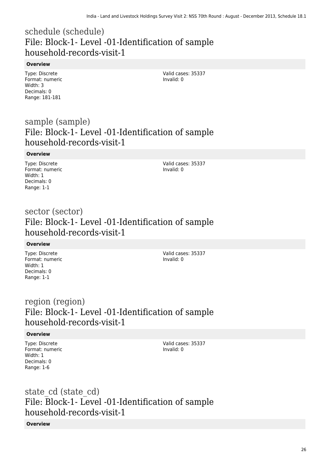# schedule (schedule) File: Block-1- Level -01-Identification of sample household-records-visit-1

#### **Overview**

Type: Discrete Format: numeric Width: 3 Decimals: 0 Range: 181-181

Valid cases: 35337 Invalid: 0

# sample (sample) File: Block-1- Level -01-Identification of sample household-records-visit-1

#### **Overview**

Type: Discrete Format: numeric Width: 1 Decimals: 0 Range: 1-1

Valid cases: 35337 Invalid: 0

### sector (sector) File: Block-1- Level -01-Identification of sample household-records-visit-1

#### **Overview**

Type: Discrete Format: numeric Width: 1 Decimals: 0 Range: 1-1

Valid cases: 35337 Invalid: 0

### region (region) File: Block-1- Level -01-Identification of sample household-records-visit-1

#### **Overview**

Type: Discrete Format: numeric Width: 1 Decimals: 0 Range: 1-6

Valid cases: 35337 Invalid: 0

### state\_cd (state\_cd) File: Block-1- Level -01-Identification of sample household-records-visit-1

#### **Overview**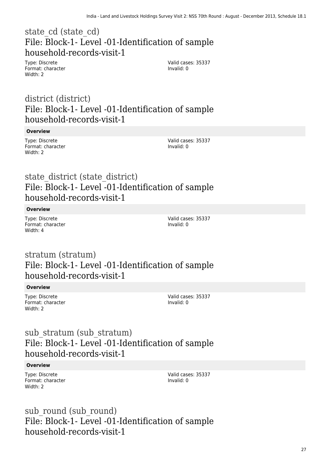# state\_cd (state\_cd) File: Block-1- Level -01-Identification of sample household-records-visit-1

Type: Discrete Format: character Width: 2

Valid cases: 35337 Invalid: 0

# district (district) File: Block-1- Level -01-Identification of sample household-records-visit-1

#### **Overview**

Type: Discrete Format: character Width: 2

Valid cases: 35337 Invalid: 0

### state district (state district) File: Block-1- Level -01-Identification of sample household-records-visit-1

#### **Overview**

Type: Discrete Format: character Width: 4

Valid cases: 35337 Invalid: 0

### stratum (stratum) File: Block-1- Level -01-Identification of sample household-records-visit-1

#### **Overview**

Type: Discrete Format: character Width: 2

Valid cases: 35337 Invalid: 0

### sub stratum (sub stratum) File: Block-1- Level -01-Identification of sample household-records-visit-1

#### **Overview**

Type: Discrete Format: character Width: 2

Valid cases: 35337 Invalid: 0

sub round (sub round) File: Block-1- Level -01-Identification of sample household-records-visit-1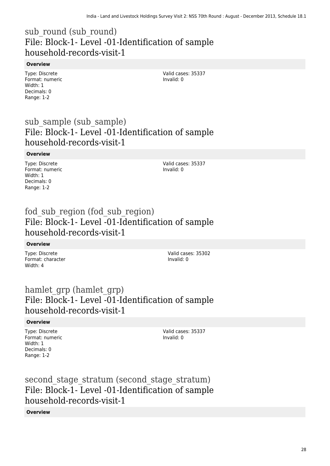# sub round (sub round) File: Block-1- Level -01-Identification of sample household-records-visit-1

#### **Overview**

Type: Discrete Format: numeric Width: 1 Decimals: 0 Range: 1-2

Valid cases: 35337 Invalid: 0

### sub sample (sub sample) File: Block-1- Level -01-Identification of sample household-records-visit-1

#### **Overview**

Type: Discrete Format: numeric Width: 1 Decimals: 0 Range: 1-2

Valid cases: 35337 Invalid: 0

### fod\_sub\_region (fod\_sub\_region) File: Block-1- Level -01-Identification of sample household-records-visit-1

#### **Overview**

Type: Discrete Format: character Width: 4

Valid cases: 35302 Invalid: 0

### hamlet qrp (hamlet qrp) File: Block-1- Level -01-Identification of sample household-records-visit-1

#### **Overview**

Type: Discrete Format: numeric Width: 1 Decimals: 0 Range: 1-2

Valid cases: 35337 Invalid: 0

second\_stage\_stratum (second\_stage\_stratum) File: Block-1- Level -01-Identification of sample household-records-visit-1

#### **Overview**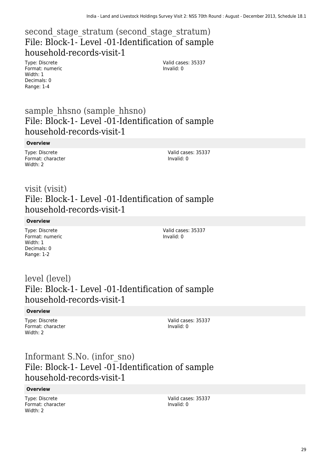### second stage stratum (second stage stratum) File: Block-1- Level -01-Identification of sample household-records-visit-1

Type: Discrete Format: numeric Width: 1 Decimals: 0 Range: 1-4

Valid cases: 35337 Invalid: 0

### sample hhsno (sample hhsno) File: Block-1- Level -01-Identification of sample household-records-visit-1

#### **Overview**

Type: Discrete Format: character Width: 2

Valid cases: 35337 Invalid: 0

### visit (visit) File: Block-1- Level -01-Identification of sample household-records-visit-1

#### **Overview**

Type: Discrete Format: numeric Width: 1 Decimals: 0 Range: 1-2

Valid cases: 35337 Invalid: 0

### level (level) File: Block-1- Level -01-Identification of sample household-records-visit-1

#### **Overview**

Type: Discrete Format: character Width: 2

Valid cases: 35337 Invalid: 0

### Informant S.No. (infor\_sno) File: Block-1- Level -01-Identification of sample household-records-visit-1

#### **Overview**

Type: Discrete Format: character Width: 2

Valid cases: 35337 Invalid: 0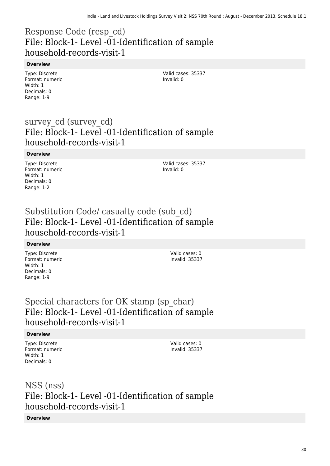# Response Code (resp\_cd) File: Block-1- Level -01-Identification of sample household-records-visit-1

#### **Overview**

Type: Discrete Format: numeric Width: 1 Decimals: 0 Range: 1-9

Valid cases: 35337 Invalid: 0

### survey cd (survey cd) File: Block-1- Level -01-Identification of sample household-records-visit-1

#### **Overview**

Type: Discrete Format: numeric Width: 1 Decimals: 0 Range: 1-2

Valid cases: 35337 Invalid: 0

### Substitution Code/ casualty code (sub\_cd) File: Block-1- Level -01-Identification of sample household-records-visit-1

#### **Overview**

Type: Discrete Format: numeric Width: 1 Decimals: 0 Range: 1-9

Valid cases: 0 Invalid: 35337

### Special characters for OK stamp (sp\_char) File: Block-1- Level -01-Identification of sample household-records-visit-1

#### **Overview**

Type: Discrete Format: numeric Width: 1 Decimals: 0

Valid cases: 0 Invalid: 35337

NSS (nss) File: Block-1- Level -01-Identification of sample household-records-visit-1

#### **Overview**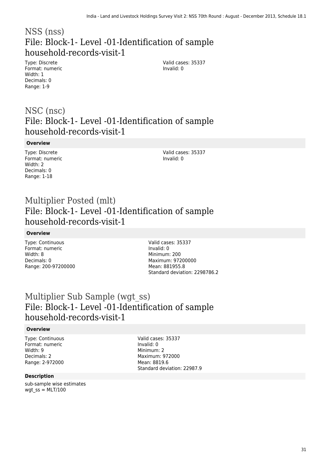# NSS (nss) File: Block-1- Level -01-Identification of sample household-records-visit-1

Type: Discrete Format: numeric Width: 1 Decimals: 0 Range: 1-9

Valid cases: 35337 Invalid: 0

### NSC (nsc) File: Block-1- Level -01-Identification of sample household-records-visit-1

#### **Overview**

Type: Discrete Format: numeric Width: 2 Decimals: 0 Range: 1-18

Valid cases: 35337 Invalid: 0

### Multiplier Posted (mlt) File: Block-1- Level -01-Identification of sample household-records-visit-1

#### **Overview**

Type: Continuous Format: numeric Width: 8 Decimals: 0 Range: 200-97200000

Valid cases: 35337 Invalid: 0 Minimum: 200 Maximum: 97200000 Mean: 881955.8 Standard deviation: 2298786.2

### Multiplier Sub Sample (wgt\_ss) File: Block-1- Level -01-Identification of sample household-records-visit-1

#### **Overview**

Type: Continuous Format: numeric Width: 9 Decimals: 2 Range: 2-972000

Valid cases: 35337 Invalid: 0 Minimum: 2 Maximum: 972000 Mean: 8819.6 Standard deviation: 22987.9

#### **Description**

sub-sample wise estimates  $wgt$ <sub>\_SS</sub> = MLT/100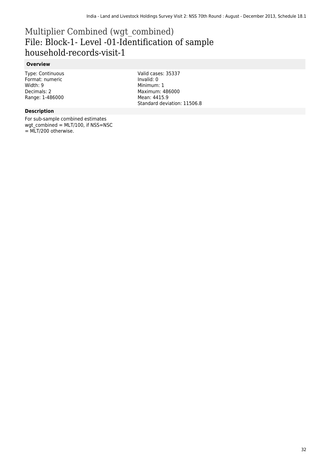# Multiplier Combined (wgt\_combined) File: Block-1- Level -01-Identification of sample household-records-visit-1

#### **Overview**

Type: Continuous Format: numeric Width: 9 Decimals: 2 Range: 1-486000

Valid cases: 35337 Invalid: 0 Minimum: 1 Maximum: 486000 Mean: 4415.9 Standard deviation: 11506.8

#### **Description**

For sub-sample combined estimates wgt\_combined = MLT/100, if  $NSS=NSC$  $=$  MLT/200 otherwise.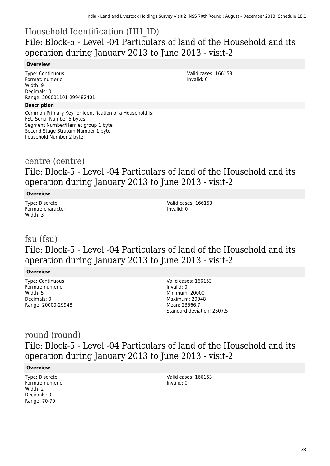# Household Identification (HH\_ID) File: Block-5 - Level -04 Particulars of land of the Household and its operation during January 2013 to June 2013 - visit-2

#### **Overview**

Type: Continuous Format: numeric Width: 9 Decimals: 0 Range: 200001101-299482401 Valid cases: 166153 Invalid: 0

#### **Description**

Common Primary Key for identification of a Household is: FSU Serial Number 5 bytes Segment Number/Hemlet group 1 byte Second Stage Stratum Number 1 byte household Number 2 byte

### centre (centre) File: Block-5 - Level -04 Particulars of land of the Household and its operation during January 2013 to June 2013 - visit-2

#### **Overview**

Type: Discrete Format: character Width: 3

Valid cases: 166153 Invalid: 0

# fsu (fsu) File: Block-5 - Level -04 Particulars of land of the Household and its operation during January 2013 to June 2013 - visit-2

#### **Overview**

Type: Continuous Format: numeric Width: 5 Decimals: 0 Range: 20000-29948

Valid cases: 166153 Invalid: 0 Minimum: 20000 Maximum: 29948 Mean: 23566.7 Standard deviation: 2507.5

### round (round) File: Block-5 - Level -04 Particulars of land of the Household and its operation during January 2013 to June 2013 - visit-2

#### **Overview**

Type: Discrete Format: numeric Width: 2 Decimals: 0 Range: 70-70

Valid cases: 166153 Invalid: 0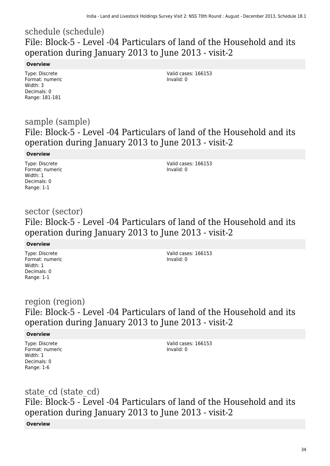# schedule (schedule) File: Block-5 - Level -04 Particulars of land of the Household and its operation during January 2013 to June 2013 - visit-2

#### **Overview**

Type: Discrete Format: numeric Width: 3 Decimals: 0 Range: 181-181

Valid cases: 166153 Invalid: 0

# sample (sample) File: Block-5 - Level -04 Particulars of land of the Household and its operation during January 2013 to June 2013 - visit-2

#### **Overview**

Type: Discrete Format: numeric Width: 1 Decimals: 0 Range: 1-1

Valid cases: 166153 Invalid: 0

### sector (sector) File: Block-5 - Level -04 Particulars of land of the Household and its operation during January 2013 to June 2013 - visit-2

#### **Overview**

Type: Discrete Format: numeric Width: 1 Decimals: 0 Range: 1-1

Valid cases: 166153 Invalid: 0

### region (region) File: Block-5 - Level -04 Particulars of land of the Household and its operation during January 2013 to June 2013 - visit-2

#### **Overview**

Type: Discrete Format: numeric Width: 1 Decimals: 0 Range: 1-6

Valid cases: 166153 Invalid: 0

state\_cd (state\_cd) File: Block-5 - Level -04 Particulars of land of the Household and its operation during January 2013 to June 2013 - visit-2

#### **Overview**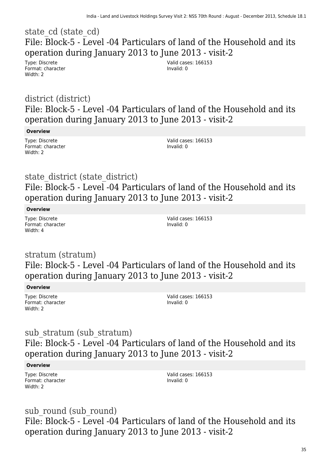# state\_cd (state\_cd) File: Block-5 - Level -04 Particulars of land of the Household and its operation during January 2013 to June 2013 - visit-2

Type: Discrete Format: character Width: 2

Valid cases: 166153 Invalid: 0

### district (district) File: Block-5 - Level -04 Particulars of land of the Household and its operation during January 2013 to June 2013 - visit-2

#### **Overview**

Type: Discrete Format: character Width: 2

Valid cases: 166153 Invalid: 0

state district (state district) File: Block-5 - Level -04 Particulars of land of the Household and its operation during January 2013 to June 2013 - visit-2

#### **Overview**

Type: Discrete Format: character Width: 4

Valid cases: 166153 Invalid: 0

# stratum (stratum) File: Block-5 - Level -04 Particulars of land of the Household and its operation during January 2013 to June 2013 - visit-2

#### **Overview**

Type: Discrete Format: character Width: 2

Valid cases: 166153 Invalid: 0

sub stratum (sub stratum) File: Block-5 - Level -04 Particulars of land of the Household and its operation during January 2013 to June 2013 - visit-2

#### **Overview**

Type: Discrete Format: character Width: 2

Valid cases: 166153 Invalid: 0

sub round (sub round) File: Block-5 - Level -04 Particulars of land of the Household and its operation during January 2013 to June 2013 - visit-2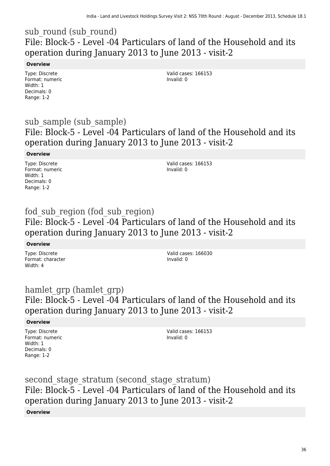# sub round (sub round) File: Block-5 - Level -04 Particulars of land of the Household and its operation during January 2013 to June 2013 - visit-2

#### **Overview**

Type: Discrete Format: numeric Width: 1 Decimals: 0 Range: 1-2

Valid cases: 166153 Invalid: 0

### sub sample (sub sample) File: Block-5 - Level -04 Particulars of land of the Household and its operation during January 2013 to June 2013 - visit-2

**Overview**

Type: Discrete Format: numeric Width: 1 Decimals: 0 Range: 1-2

Valid cases: 166153 Invalid: 0

### fod\_sub\_region (fod\_sub\_region) File: Block-5 - Level -04 Particulars of land of the Household and its operation during January 2013 to June 2013 - visit-2

#### **Overview**

Type: Discrete Format: character Width: 4

Valid cases: 166030 Invalid: 0

### hamlet grp (hamlet grp) File: Block-5 - Level -04 Particulars of land of the Household and its operation during January 2013 to June 2013 - visit-2

#### **Overview**

Type: Discrete Format: numeric Width: 1 Decimals: 0 Range: 1-2

Valid cases: 166153 Invalid: 0

second stage stratum (second stage stratum) File: Block-5 - Level -04 Particulars of land of the Household and its operation during January 2013 to June 2013 - visit-2 **Overview**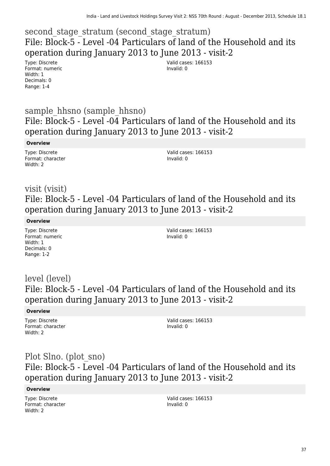# second stage stratum (second stage stratum) File: Block-5 - Level -04 Particulars of land of the Household and its operation during January 2013 to June 2013 - visit-2

Type: Discrete Format: numeric Width: 1 Decimals: 0 Range: 1-4

Valid cases: 166153 Invalid: 0

sample hhsno (sample hhsno) File: Block-5 - Level  $-0<sub>4</sub>$  Particulars of land of the Household and its operation during January 2013 to June 2013 - visit-2

#### **Overview**

Type: Discrete Format: character Width: 2

Valid cases: 166153 Invalid: 0

# visit (visit) File: Block-5 - Level -04 Particulars of land of the Household and its operation during January 2013 to June 2013 - visit-2

#### **Overview**

Type: Discrete Format: numeric Width: 1 Decimals: 0 Range: 1-2

Valid cases: 166153 Invalid: 0

# level (level) File: Block-5 - Level -04 Particulars of land of the Household and its operation during January 2013 to June 2013 - visit-2

#### **Overview**

Type: Discrete Format: character Width: 2

Valid cases: 166153 Invalid: 0

# Plot Slno. (plot\_sno) File: Block-5 - Level -04 Particulars of land of the Household and its operation during January 2013 to June 2013 - visit-2

#### **Overview**

Type: Discrete Format: character Width: 2

Valid cases: 166153 Invalid: 0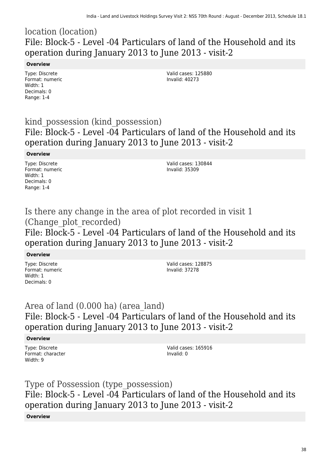# location (location) File: Block-5 - Level -04 Particulars of land of the Household and its operation during January 2013 to June 2013 - visit-2

#### **Overview**

Type: Discrete Format: numeric Width: 1 Decimals: 0 Range: 1-4

Valid cases: 125880 Invalid: 40273

# kind\_possession (kind\_possession) File: Block-5 - Level -04 Particulars of land of the Household and its operation during January 2013 to June 2013 - visit-2

**Overview**

Type: Discrete Format: numeric Width: 1 Decimals: 0 Range: 1-4

Valid cases: 130844 Invalid: 35309

Is there any change in the area of plot recorded in visit 1 (Change\_plot\_recorded)

File: Block-5 - Level -04 Particulars of land of the Household and its operation during January 2013 to June 2013 - visit-2

#### **Overview**

Type: Discrete Format: numeric Width: 1 Decimals: 0

Valid cases: 128875 Invalid: 37278

Area of land (0.000 ha) (area\_land) File: Block-5 - Level -04 Particulars of land of the Household and its operation during January 2013 to June 2013 - visit-2

#### **Overview**

Type: Discrete Format: character Width: 9

Valid cases: 165916 Invalid: 0

Type of Possession (type\_possession)

File: Block-5 - Level -04 Particulars of land of the Household and its operation during January 2013 to June 2013 - visit-2

#### **Overview**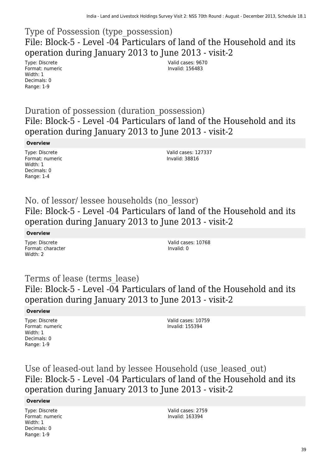# Type of Possession (type\_possession) File: Block-5 - Level -04 Particulars of land of the Household and its operation during January 2013 to June 2013 - visit-2

Type: Discrete Format: numeric Width: 1 Decimals: 0 Range: 1-9

Valid cases: 9670 Invalid: 156483

Duration of possession (duration\_possession) File: Block-5 - Level -04 Particulars of land of the Household and its operation during January 2013 to June 2013 - visit-2

#### **Overview**

Type: Discrete Format: numeric Width: 1 Decimals: 0 Range: 1-4

Valid cases: 127337 Invalid: 38816

# No. of lessor/ lessee households (no\_lessor) File: Block-5 - Level -04 Particulars of land of the Household and its operation during January 2013 to June 2013 - visit-2

**Overview**

Type: Discrete Format: character Width: 2

Valid cases: 10768 Invalid: 0

## Terms of lease (terms\_lease)

File: Block-5 - Level -04 Particulars of land of the Household and its operation during January 2013 to June 2013 - visit-2

#### **Overview**

Type: Discrete Format: numeric Width: 1 Decimals: 0 Range: 1-9

Valid cases: 10759 Invalid: 155394

Use of leased-out land by lessee Household (use\_leased\_out) File: Block-5 - Level -04 Particulars of land of the Household and its operation during January 2013 to June 2013 - visit-2

#### **Overview**

Type: Discrete Format: numeric Width: 1 Decimals: 0 Range: 1-9

Valid cases: 2759 Invalid: 163394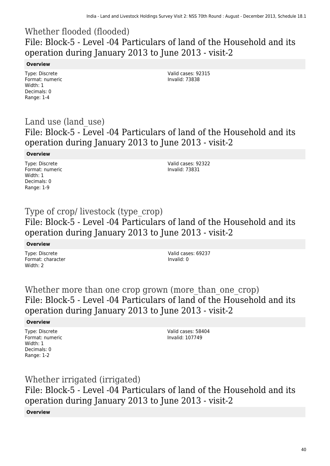# Whether flooded (flooded) File: Block-5 - Level -04 Particulars of land of the Household and its operation during January 2013 to June 2013 - visit-2

#### **Overview**

Type: Discrete Format: numeric Width: 1 Decimals: 0 Range: 1-4

Valid cases: 92315 Invalid: 73838

# Land use (land use) File: Block-5 - Level -04 Particulars of land of the Household and its operation during January 2013 to June 2013 - visit-2

#### **Overview**

Type: Discrete Format: numeric Width: 1 Decimals: 0 Range: 1-9

Valid cases: 92322 Invalid: 73831

# Type of crop/ livestock (type\_crop) File: Block-5 - Level -04 Particulars of land of the Household and its operation during January 2013 to June 2013 - visit-2

#### **Overview**

Type: Discrete Format: character Width: 2

Valid cases: 69237 Invalid: 0

Whether more than one crop grown (more than one crop) File: Block-5 - Level -04 Particulars of land of the Household and its operation during January 2013 to June 2013 - visit-2

#### **Overview**

Type: Discrete Format: numeric Width: 1 Decimals: 0 Range: 1-2

Valid cases: 58404 Invalid: 107749

Whether irrigated (irrigated) File: Block-5 - Level -04 Particulars of land of the Household and its operation during January 2013 to June 2013 - visit-2 **Overview**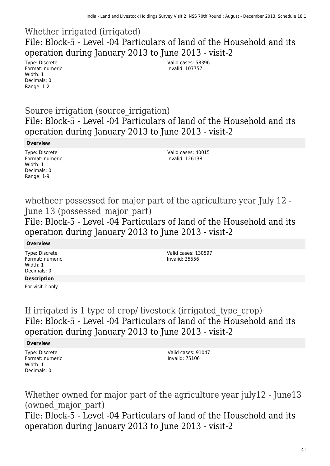# Whether irrigated (irrigated) File: Block-5 - Level -04 Particulars of land of the Household and its operation during January 2013 to June 2013 - visit-2

Type: Discrete Format: numeric Width: 1 Decimals: 0 Range: 1-2

Valid cases: 58396 Invalid: 107757

Source irrigation (source irrigation) File: Block-5 - Level -04 Particulars of land of the Household and its operation during January 2013 to June 2013 - visit-2

#### **Overview**

Type: Discrete Format: numeric Width: 1 Decimals: 0 Range: 1-9

Valid cases: 40015 Invalid: 126138

whetheer possessed for major part of the agriculture year July 12 - June 13 (possessed\_major\_part)

File: Block-5 - Level -04 Particulars of land of the Household and its operation during January 2013 to June 2013 - visit-2

#### **Overview**

Type: Discrete Format: numeric Width: 1 Decimals: 0

#### **Description**

For visit 2 only

Valid cases: 130597 Invalid: 35556

If irrigated is 1 type of crop/ livestock (irrigated\_type\_crop) File: Block-5 - Level -04 Particulars of land of the Household and its operation during January 2013 to June 2013 - visit-2

#### **Overview**

Type: Discrete Format: numeric Width: 1 Decimals: 0

Valid cases: 91047 Invalid: 75106

Whether owned for major part of the agriculture year july12 - June13 (owned\_major\_part)

File: Block-5 - Level -04 Particulars of land of the Household and its operation during January 2013 to June 2013 - visit-2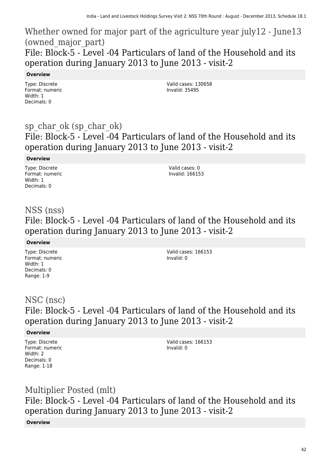# Whether owned for major part of the agriculture year july12 - June13 (owned\_major\_part) File: Block-5 - Level -04 Particulars of land of the Household and its operation during January 2013 to June 2013 - visit-2

#### **Overview**

Type: Discrete Format: numeric Width: 1 Decimals: 0

Valid cases: 130658 Invalid: 35495

# sp char ok (sp char ok) File: Block-5 - Level -04 Particulars of land of the Household and its operation during January 2013 to June 2013 - visit-2

#### **Overview**

Type: Discrete Format: numeric Width: 1 Decimals: 0

Valid cases: 0 Invalid: 166153

# NSS (nss) File: Block-5 - Level -04 Particulars of land of the Household and its operation during January 2013 to June 2013 - visit-2

#### **Overview**

Type: Discrete Format: numeric Width: 1 Decimals: 0 Range: 1-9

Valid cases: 166153 Invalid: 0

# NSC (nsc) File: Block-5 - Level -04 Particulars of land of the Household and its operation during January 2013 to June 2013 - visit-2

#### **Overview**

Type: Discrete Format: numeric Width: 2 Decimals: 0 Range: 1-18

Valid cases: 166153 Invalid: 0

Multiplier Posted (mlt) File: Block-5 - Level -04 Particulars of land of the Household and its operation during January 2013 to June 2013 - visit-2 **Overview**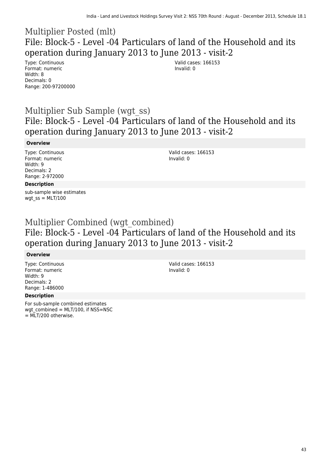# Multiplier Posted (mlt) File: Block-5 - Level -04 Particulars of land of the Household and its operation during January 2013 to June 2013 - visit-2

Type: Continuous Format: numeric Width: 8 Decimals: 0 Range: 200-97200000 Valid cases: 166153 Invalid: 0

# Multiplier Sub Sample (wgt\_ss) File: Block-5 - Level -04 Particulars of land of the Household and its operation during January 2013 to June 2013 - visit-2

#### **Overview**

Type: Continuous Format: numeric Width: 9 Decimals: 2 Range: 2-972000

#### **Description**

sub-sample wise estimates wgt  $ss = MLT/100$ 

Valid cases: 166153 Invalid: 0

# Multiplier Combined (wgt\_combined) File: Block-5 - Level -04 Particulars of land of the Household and its operation during January 2013 to June 2013 - visit-2

#### **Overview**

Type: Continuous Format: numeric Width: 9 Decimals: 2 Range: 1-486000

#### **Description**

For sub-sample combined estimates wgt\_combined =  $MLT/100$ , if NSS=NSC = MLT/200 otherwise.

Valid cases: 166153 Invalid: 0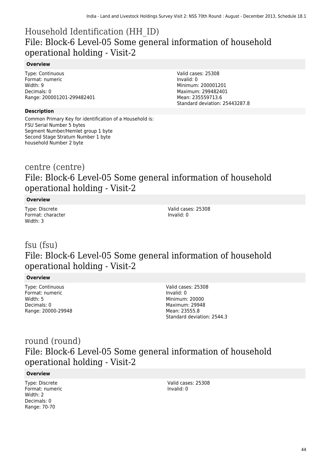# Household Identification (HH\_ID) File: Block-6 Level-05 Some general information of household operational holding - Visit-2

#### **Overview**

Type: Continuous Format: numeric Width: 9 Decimals: 0 Range: 200001201-299482401

#### **Description**

Common Primary Key for identification of a Household is: FSU Serial Number 5 bytes Segment Number/Hemlet group 1 byte Second Stage Stratum Number 1 byte household Number 2 byte

Valid cases: 25308 Invalid: 0 Minimum: 200001201 Maximum: 299482401 Mean: 235559713.6 Standard deviation: 25443287.8

# centre (centre) File: Block-6 Level-05 Some general information of household operational holding - Visit-2

#### **Overview**

Type: Discrete Format: character Width: 3

Valid cases: 25308 Invalid: 0

# fsu (fsu) File: Block-6 Level-05 Some general information of household operational holding - Visit-2

#### **Overview**

Type: Continuous Format: numeric Width: 5 Decimals: 0 Range: 20000-29948

Valid cases: 25308 Invalid: 0 Minimum: 20000 Maximum: 29948 Mean: 23555.8 Standard deviation: 2544.3

# round (round) File: Block-6 Level-05 Some general information of household operational holding - Visit-2

#### **Overview**

Type: Discrete Format: numeric Width: 2 Decimals: 0 Range: 70-70

Valid cases: 25308 Invalid: 0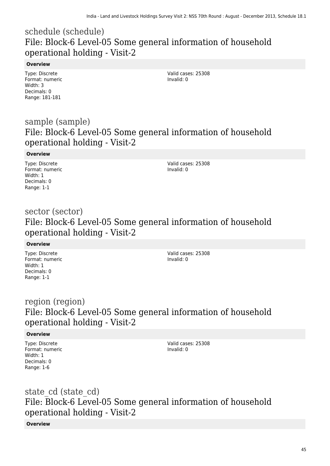# schedule (schedule) File: Block-6 Level-05 Some general information of household operational holding - Visit-2

#### **Overview**

Type: Discrete Format: numeric Width: 3 Decimals: 0 Range: 181-181

Valid cases: 25308 Invalid: 0

# sample (sample) File: Block-6 Level-05 Some general information of household operational holding - Visit-2

#### **Overview**

Type: Discrete Format: numeric Width: 1 Decimals: 0 Range: 1-1

Valid cases: 25308 Invalid: 0

# sector (sector) File: Block-6 Level-05 Some general information of household operational holding - Visit-2

#### **Overview**

Type: Discrete Format: numeric Width: 1 Decimals: 0 Range: 1-1

Valid cases: 25308 Invalid: 0

# region (region) File: Block-6 Level-05 Some general information of household operational holding - Visit-2

#### **Overview**

Type: Discrete Format: numeric Width: 1 Decimals: 0 Range: 1-6

Valid cases: 25308 Invalid: 0

state\_cd (state\_cd) File: Block-6 Level-05 Some general information of household operational holding - Visit-2

#### **Overview**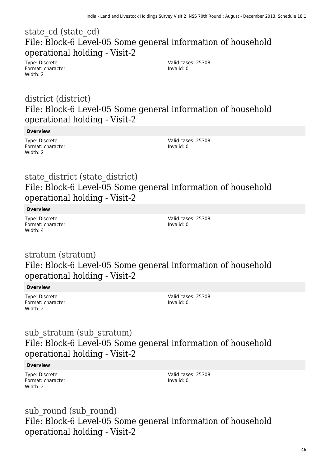# state\_cd (state\_cd) File: Block-6 Level-05 Some general information of household operational holding - Visit-2

Type: Discrete Format: character Width: 2

Valid cases: 25308 Invalid: 0

# district (district) File: Block-6 Level-05 Some general information of household operational holding - Visit-2

**Overview**

Type: Discrete Format: character Width: 2

Valid cases: 25308 Invalid: 0

# state district (state district) File: Block-6 Level-05 Some general information of household operational holding - Visit-2

**Overview**

Type: Discrete Format: character Width: 4

Valid cases: 25308 Invalid: 0

# stratum (stratum) File: Block-6 Level-05 Some general information of household operational holding - Visit-2

#### **Overview**

Type: Discrete Format: character Width: 2

Valid cases: 25308 Invalid: 0

# sub stratum (sub stratum) File: Block-6 Level-05 Some general information of household operational holding - Visit-2

**Overview**

Type: Discrete Format: character Width: 2

Valid cases: 25308 Invalid: 0

sub round (sub round) File: Block-6 Level-05 Some general information of household operational holding - Visit-2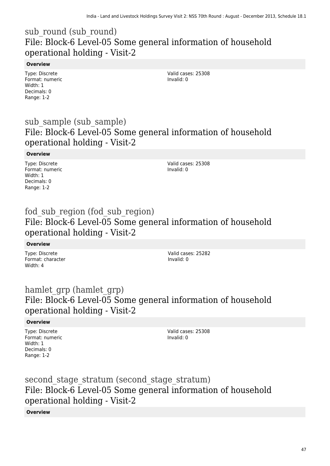# sub round (sub round) File: Block-6 Level-05 Some general information of household operational holding - Visit-2

#### **Overview**

Type: Discrete Format: numeric Width: 1 Decimals: 0 Range: 1-2

Valid cases: 25308 Invalid: 0

# sub sample (sub sample) File: Block-6 Level-05 Some general information of household operational holding - Visit-2

#### **Overview**

Type: Discrete Format: numeric Width: 1 Decimals: 0 Range: 1-2

Valid cases: 25308 Invalid: 0

# fod\_sub\_region (fod\_sub\_region) File: Block-6 Level-05 Some general information of household operational holding - Visit-2

#### **Overview**

Type: Discrete Format: character Width: 4

Valid cases: 25282 Invalid: 0

# hamlet grp (hamlet grp) File: Block-6 Level-05 Some general information of household operational holding - Visit-2

#### **Overview**

Type: Discrete Format: numeric Width: 1 Decimals: 0 Range: 1-2

Valid cases: 25308 Invalid: 0

second stage stratum (second stage stratum) File: Block-6 Level-05 Some general information of household operational holding - Visit-2

#### **Overview**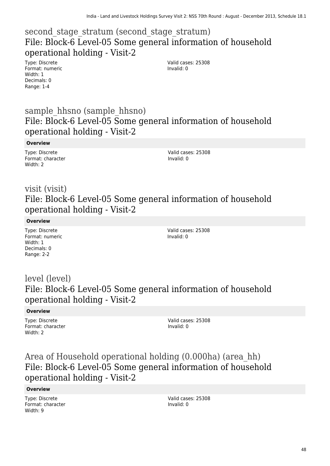# second stage stratum (second stage stratum) File: Block-6 Level-05 Some general information of household operational holding - Visit-2

Type: Discrete Format: numeric Width: 1 Decimals: 0 Range: 1-4

Valid cases: 25308 Invalid: 0

# sample hhsno (sample hhsno) File: Block-6 Level-05 Some general information of household operational holding - Visit-2

#### **Overview**

Type: Discrete Format: character Width: 2

Valid cases: 25308 Invalid: 0

# visit (visit) File: Block-6 Level-05 Some general information of household operational holding - Visit-2

#### **Overview**

Type: Discrete Format: numeric Width: 1 Decimals: 0 Range: 2-2

Valid cases: 25308 Invalid: 0

# level (level) File: Block-6 Level-05 Some general information of household operational holding - Visit-2

#### **Overview**

Type: Discrete Format: character Width: 2

Valid cases: 25308 Invalid: 0

# Area of Household operational holding (0.000ha) (area\_hh) File: Block-6 Level-05 Some general information of household operational holding - Visit-2

#### **Overview**

Type: Discrete Format: character Width: 9

Valid cases: 25308 Invalid: 0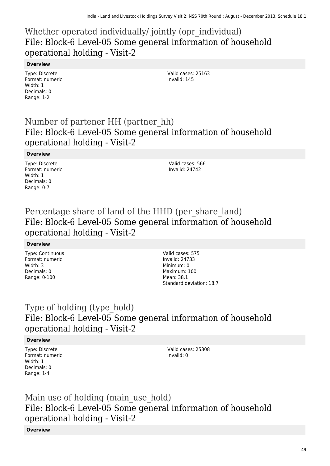# Whether operated individually/ jointly (opr individual) File: Block-6 Level-05 Some general information of household operational holding - Visit-2

#### **Overview**

Type: Discrete Format: numeric Width: 1 Decimals: 0 Range: 1-2

Valid cases: 25163 Invalid: 145

# Number of partener HH (partner\_hh) File: Block-6 Level-05 Some general information of household operational holding - Visit-2

#### **Overview**

Type: Discrete Format: numeric Width: 1 Decimals: 0 Range: 0-7

Valid cases: 566 Invalid: 24742

# Percentage share of land of the HHD (per\_share\_land) File: Block-6 Level-05 Some general information of household operational holding - Visit-2

#### **Overview**

Type: Continuous Format: numeric Width: 3 Decimals: 0 Range: 0-100

Valid cases: 575 Invalid: 24733 Minimum: 0 Maximum: 100 Mean: 38.1 Standard deviation: 18.7

# Type of holding (type\_hold) File: Block-6 Level-05 Some general information of household operational holding - Visit-2

#### **Overview**

Type: Discrete Format: numeric Width: 1 Decimals: 0 Range: 1-4

Valid cases: 25308 Invalid: 0

Main use of holding (main\_use\_hold) File: Block-6 Level-05 Some general information of household operational holding - Visit-2

#### **Overview**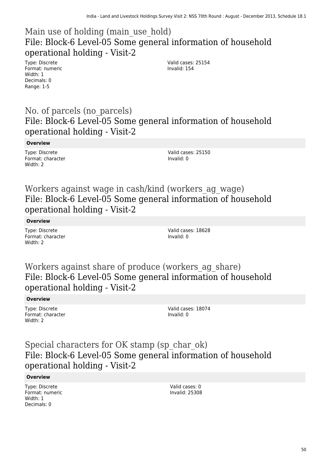# Main use of holding (main\_use\_hold) File: Block-6 Level-05 Some general information of household operational holding - Visit-2

Type: Discrete Format: numeric Width: 1 Decimals: 0 Range: 1-5

Valid cases: 25154 Invalid: 154

# No. of parcels (no\_parcels) File: Block-6 Level-05 Some general information of household operational holding - Visit-2

#### **Overview**

Type: Discrete Format: character Width: 2

Valid cases: 25150 Invalid: 0

Workers against wage in cash/kind (workers\_ag\_wage) File: Block-6 Level-05 Some general information of household operational holding - Visit-2

#### **Overview**

Type: Discrete Format: character Width: 2

Valid cases: 18628 Invalid: 0

Workers against share of produce (workers ag share) File: Block-6 Level-05 Some general information of household operational holding - Visit-2

#### **Overview**

Type: Discrete Format: character Width: 2

Valid cases: 18074 Invalid: 0

# Special characters for OK stamp (sp\_char\_ok) File: Block-6 Level-05 Some general information of household operational holding - Visit-2

#### **Overview**

Type: Discrete Format: numeric Width: 1 Decimals: 0

Valid cases: 0 Invalid: 25308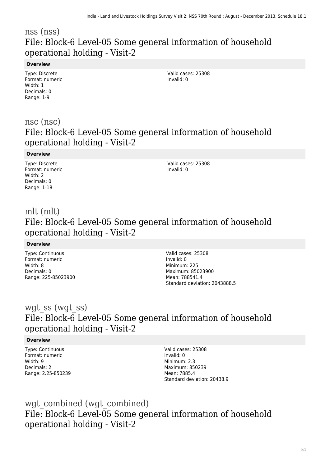# nss (nss) File: Block-6 Level-05 Some general information of household operational holding - Visit-2

#### **Overview**

Type: Discrete Format: numeric Width: 1 Decimals: 0 Range: 1-9

Valid cases: 25308 Invalid: 0

# nsc (nsc) File: Block-6 Level-05 Some general information of household operational holding - Visit-2

#### **Overview**

Type: Discrete Format: numeric Width: 2 Decimals: 0 Range: 1-18

Valid cases: 25308 Invalid: 0

# mlt (mlt) File: Block-6 Level-05 Some general information of household operational holding - Visit-2

#### **Overview**

Type: Continuous Format: numeric Width: 8 Decimals: 0 Range: 225-85023900

Valid cases: 25308 Invalid: 0 Minimum: 225 Maximum: 85023900 Mean: 788541.4 Standard deviation: 2043888.5

# wgt\_ss (wgt\_ss) File: Block-6 Level-05 Some general information of household operational holding - Visit-2

#### **Overview**

Type: Continuous Format: numeric Width: 9 Decimals: 2 Range: 2.25-850239 Valid cases: 25308 Invalid: 0 Minimum: 2.3 Maximum: 850239 Mean: 7885.4 Standard deviation: 20438.9

wgt\_combined (wgt\_combined) File: Block-6 Level-05 Some general information of household operational holding - Visit-2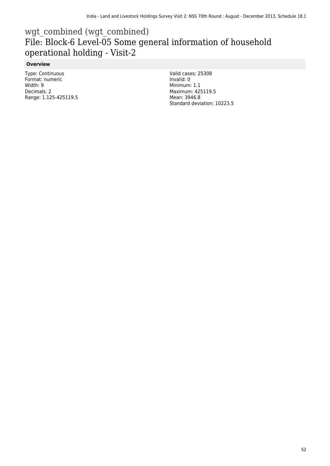# wgt\_combined (wgt\_combined) File: Block-6 Level-05 Some general information of household operational holding - Visit-2

#### **Overview**

Type: Continuous Format: numeric Width: 9 Decimals: 2 Range: 1.125-425119.5 Valid cases: 25308 Invalid: 0 Minimum: 1.1 Maximum: 425119.5 Mean: 3946.8 Standard deviation: 10223.5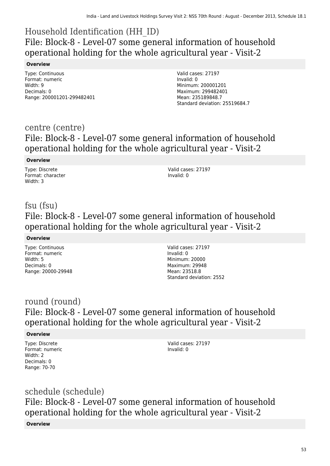# Household Identification (HH\_ID) File: Block-8 - Level-07 some general information of household operational holding for the whole agricultural year - Visit-2

#### **Overview**

Type: Continuous Format: numeric Width: 9 Decimals: 0 Range: 200001201-299482401

Valid cases: 27197 Invalid: 0 Minimum: 200001201 Maximum: 299482401 Mean: 235189848.7 Standard deviation: 25519684.7

# centre (centre) File: Block-8 - Level-07 some general information of household operational holding for the whole agricultural year - Visit-2

#### **Overview**

Type: Discrete Format: character Width: 3

Valid cases: 27197 Invalid: 0

# fsu (fsu) File: Block-8 - Level-07 some general information of household operational holding for the whole agricultural year - Visit-2

#### **Overview**

Type: Continuous Format: numeric Width: 5 Decimals: 0 Range: 20000-29948

Valid cases: 27197 Invalid: 0 Minimum: 20000 Maximum: 29948 Mean: 23518.8 Standard deviation: 2552

# round (round) File: Block-8 - Level-07 some general information of household operational holding for the whole agricultural year - Visit-2

#### **Overview**

Type: Discrete Format: numeric Width: 2 Decimals: 0 Range: 70-70

Valid cases: 27197 Invalid: 0

schedule (schedule) File: Block-8 - Level-07 some general information of household operational holding for the whole agricultural year - Visit-2 **Overview**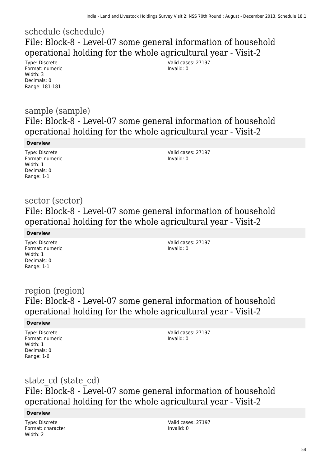# schedule (schedule) File: Block-8 - Level-07 some general information of household operational holding for the whole agricultural year - Visit-2

Type: Discrete Format: numeric Width: 3 Decimals: 0 Range: 181-181

Valid cases: 27197 Invalid: 0

# sample (sample) File: Block-8 - Level-07 some general information of household operational holding for the whole agricultural year - Visit-2

#### **Overview**

Type: Discrete Format: numeric Width: 1 Decimals: 0 Range: 1-1

Valid cases: 27197 Invalid: 0

# sector (sector) File: Block-8 - Level-07 some general information of household operational holding for the whole agricultural year - Visit-2

#### **Overview**

Type: Discrete Format: numeric Width: 1 Decimals: 0 Range: 1-1

Valid cases: 27197 Invalid: 0

## region (region) File: Block-8 - Level-07 some general information of household operational holding for the whole agricultural year - Visit-2

#### **Overview**

Type: Discrete Format: numeric Width: 1 Decimals: 0 Range: 1-6

Valid cases: 27197 Invalid: 0

# state\_cd (state\_cd) File: Block-8 - Level-07 some general information of household operational holding for the whole agricultural year - Visit-2

#### **Overview**

Type: Discrete Format: character Width: 2

Valid cases: 27197 Invalid: 0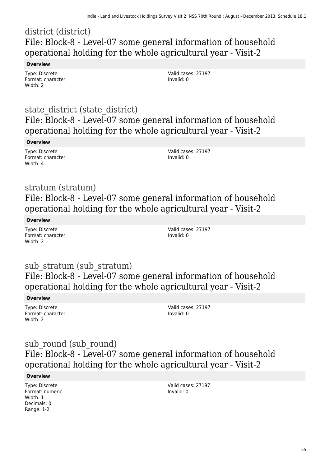# district (district) File: Block-8 - Level-07 some general information of household operational holding for the whole agricultural year - Visit-2

#### **Overview**

Type: Discrete Format: character Width: 2

Valid cases: 27197 Invalid: 0

# state district (state district) File: Block-8 - Level-07 some general information of household operational holding for the whole agricultural year - Visit-2

#### **Overview**

Type: Discrete Format: character Width: 4

Valid cases: 27197 Invalid: 0

# stratum (stratum) File: Block-8 - Level-07 some general information of household operational holding for the whole agricultural year - Visit-2

#### **Overview**

Type: Discrete Format: character Width: 2

Valid cases: 27197 Invalid: 0

# sub stratum (sub stratum) File: Block-8 - Level-07 some general information of household operational holding for the whole agricultural year - Visit-2

#### **Overview**

Type: Discrete Format: character Width: 2

Valid cases: 27197 Invalid: 0

# sub round (sub round) File: Block-8 - Level-07 some general information of household operational holding for the whole agricultural year - Visit-2

#### **Overview**

Type: Discrete Format: numeric Width: 1 Decimals: 0 Range: 1-2

Valid cases: 27197 Invalid: 0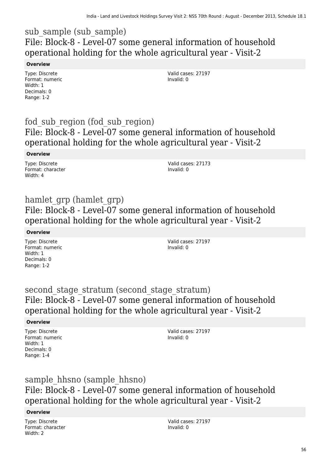# sub sample (sub sample) File: Block-8 - Level-07 some general information of household operational holding for the whole agricultural year - Visit-2

#### **Overview**

Type: Discrete Format: numeric Width: 1 Decimals: 0 Range: 1-2

Valid cases: 27197 Invalid: 0

# fod sub region (fod sub region) File: Block-8 - Level-07 some general information of household operational holding for the whole agricultural year - Visit-2

**Overview**

Type: Discrete Format: character Width: 4

Valid cases: 27173 Invalid: 0

# hamlet grp (hamlet grp) File: Block-8 - Level-07 some general information of household operational holding for the whole agricultural year - Visit-2

**Overview**

Type: Discrete Format: numeric Width: 1 Decimals: 0 Range: 1-2

Valid cases: 27197 Invalid: 0

second\_stage\_stratum (second\_stage\_stratum) File: Block-8 - Level-07 some general information of household operational holding for the whole agricultural year - Visit-2

#### **Overview**

Type: Discrete Format: numeric Width: 1 Decimals: 0 Range: 1-4

Valid cases: 27197 Invalid: 0

# sample hhsno (sample hhsno) File: Block-8 - Level-07 some general information of household operational holding for the whole agricultural year - Visit-2

#### **Overview**

Type: Discrete Format: character Width: 2

Valid cases: 27197 Invalid: 0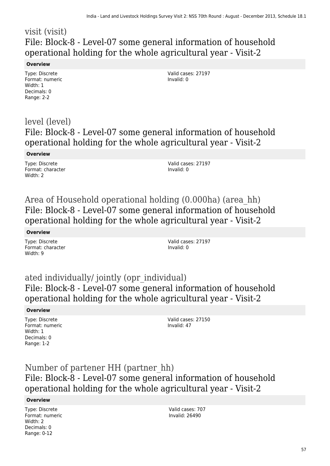# visit (visit) File: Block-8 - Level-07 some general information of household operational holding for the whole agricultural year - Visit-2

#### **Overview**

Type: Discrete Format: numeric Width: 1 Decimals: 0 Range: 2-2

Valid cases: 27197 Invalid: 0

# level (level) File: Block-8 - Level-07 some general information of household operational holding for the whole agricultural year - Visit-2

#### **Overview**

Type: Discrete Format: character Width: 2

Valid cases: 27197 Invalid: 0

Area of Household operational holding (0.000ha) (area\_hh) File: Block-8 - Level-07 some general information of household operational holding for the whole agricultural year - Visit-2

**Overview**

Type: Discrete Format: character Width: 9

Valid cases: 27197 Invalid: 0

# ated individually/ jointly (opr\_individual) File: Block-8 - Level-07 some general information of household operational holding for the whole agricultural year - Visit-2

#### **Overview**

Type: Discrete Format: numeric Width: 1 Decimals: 0 Range: 1-2

Valid cases: 27150 Invalid: 47

# Number of partener HH (partner\_hh) File: Block-8 - Level-07 some general information of household operational holding for the whole agricultural year - Visit-2

#### **Overview**

Type: Discrete Format: numeric Width: 2 Decimals: 0 Range: 0-12

Valid cases: 707 Invalid: 26490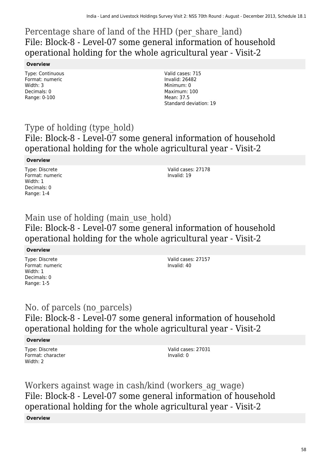# Percentage share of land of the HHD (per\_share\_land) File: Block-8 - Level-07 some general information of household operational holding for the whole agricultural year - Visit-2

#### **Overview**

Type: Continuous Format: numeric Width: 3 Decimals: 0 Range: 0-100

Valid cases: 715 Invalid: 26482 Minimum: 0 Maximum: 100 Mean: 37.5 Standard deviation: 19

# Type of holding (type\_hold)

File: Block-8 - Level-07 some general information of household operational holding for the whole agricultural year - Visit-2

#### **Overview**

Type: Discrete Format: numeric Width: 1 Decimals: 0 Range: 1-4

Valid cases: 27178 Invalid: 19

# Main use of holding (main\_use\_hold) File: Block-8 - Level-07 some general information of household operational holding for the whole agricultural year - Visit-2

#### **Overview**

Type: Discrete Format: numeric Width: 1 Decimals: 0 Range: 1-5

Valid cases: 27157 Invalid: 40

No. of parcels (no\_parcels) File: Block-8 - Level-07 some general information of household operational holding for the whole agricultural year - Visit-2

#### **Overview**

Type: Discrete Format: character Width: 2

Valid cases: 27031 Invalid: 0

Workers against wage in cash/kind (workers\_ag\_wage) File: Block-8 - Level-07 some general information of household operational holding for the whole agricultural year - Visit-2

#### **Overview**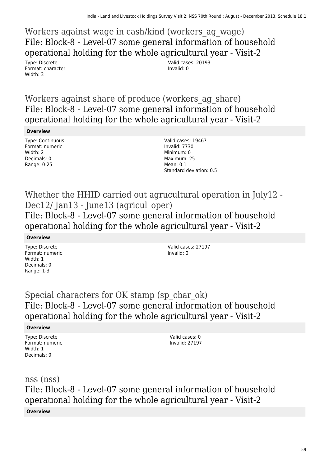Workers against wage in cash/kind (workers\_ag\_wage) File: Block-8 - Level-07 some general information of household operational holding for the whole agricultural year - Visit-2

Type: Discrete Format: character Width: 3

Valid cases: 20193 Invalid: 0

Workers against share of produce (workers ag share) File: Block-8 - Level-07 some general information of household operational holding for the whole agricultural year - Visit-2

#### **Overview**

Type: Continuous Format: numeric Width: 2 Decimals: 0 Range: 0-25

Valid cases: 19467 Invalid: 7730 Minimum: 0 Maximum: 25 Mean: 0.1 Standard deviation: 0.5

# Whether the HHID carried out agrucultural operation in July12 - Dec12/ Jan13 - June13 (agricul\_oper) File: Block-8 - Level-07 some general information of household operational holding for the whole agricultural year - Visit-2

#### **Overview**

Type: Discrete Format: numeric Width: 1 Decimals: 0 Range: 1-3

Valid cases: 27197 Invalid: 0

Special characters for OK stamp (sp\_char\_ok) File: Block-8 - Level-07 some general information of household operational holding for the whole agricultural year - Visit-2

#### **Overview**

Type: Discrete Format: numeric Width: 1 Decimals: 0

Valid cases: 0 Invalid: 27197

nss (nss) File: Block-8 - Level-07 some general information of household operational holding for the whole agricultural year - Visit-2

#### **Overview**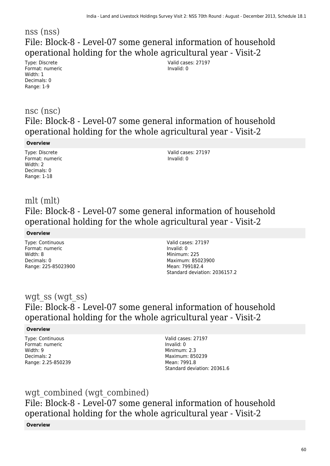# nss (nss) File: Block-8 - Level-07 some general information of household operational holding for the whole agricultural year - Visit-2

Type: Discrete Format: numeric Width: 1 Decimals: 0 Range: 1-9

Valid cases: 27197 Invalid: 0

# nsc (nsc) File: Block-8 - Level-07 some general information of household operational holding for the whole agricultural year - Visit-2

#### **Overview**

Type: Discrete Format: numeric Width: 2 Decimals: 0 Range: 1-18

Valid cases: 27197 Invalid: 0

# mlt (mlt) File: Block-8 - Level-07 some general information of household operational holding for the whole agricultural year - Visit-2

#### **Overview**

Type: Continuous Format: numeric Width: 8 Decimals: 0 Range: 225-85023900

Valid cases: 27197 Invalid: 0 Minimum: 225 Maximum: 85023900 Mean: 799182.4 Standard deviation: 2036157.2

# wgt\_ss (wgt\_ss) File: Block-8 - Level-07 some general information of household operational holding for the whole agricultural year - Visit-2

#### **Overview**

Type: Continuous Format: numeric Width: 9 Decimals: 2 Range: 2.25-850239 Valid cases: 27197 Invalid: 0 Minimum: 2.3 Maximum: 850239 Mean: 7991.8 Standard deviation: 20361.6

wgt\_combined (wgt\_combined) File: Block-8 - Level-07 some general information of household operational holding for the whole agricultural year - Visit-2 **Overview**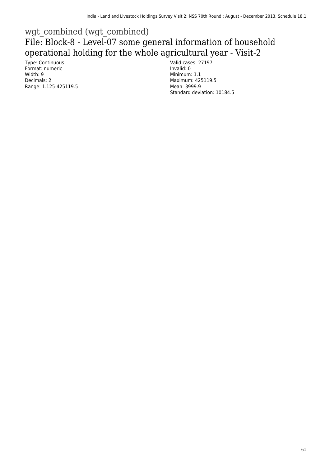# wgt combined (wgt combined) File: Block-8 - Level-07 some general information of household operational holding for the whole agricultural year - Visit-2

Type: Continuous Format: numeric Width: 9 Decimals: 2 Range: 1.125-425119.5

Valid cases: 27197 Invalid: 0 Minimum: 1.1 Maximum: 425119.5 Mean: 3999.9 Standard deviation: 10184.5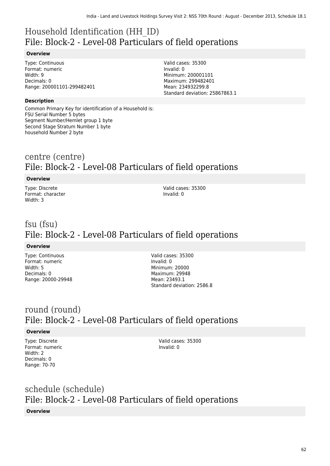# Household Identification (HH\_ID) File: Block-2 - Level-08 Particulars of field operations

#### **Overview**

Type: Continuous Format: numeric Width: 9 Decimals: 0 Range: 200001101-299482401

#### **Description**

Common Primary Key for identification of a Household is: FSU Serial Number 5 bytes Segment Number/Hemlet group 1 byte Second Stage Stratum Number 1 byte household Number 2 byte

Valid cases: 35300 Invalid: 0 Minimum: 200001101 Maximum: 299482401 Mean: 234932299.8 Standard deviation: 25867863.1

centre (centre) File: Block-2 - Level-08 Particulars of field operations

#### **Overview**

Type: Discrete Format: character Width: 3

Valid cases: 35300 Invalid: 0

# fsu (fsu) File: Block-2 - Level-08 Particulars of field operations

#### **Overview**

Type: Continuous Format: numeric Width: 5 Decimals: 0 Range: 20000-29948 Valid cases: 35300 Invalid: 0 Minimum: 20000 Maximum: 29948 Mean: 23493.1 Standard deviation: 2586.8

# round (round) File: Block-2 - Level-08 Particulars of field operations

#### **Overview**

Type: Discrete Format: numeric Width: 2 Decimals: 0 Range: 70-70

Valid cases: 35300 Invalid: 0

# schedule (schedule) File: Block-2 - Level-08 Particulars of field operations

#### **Overview**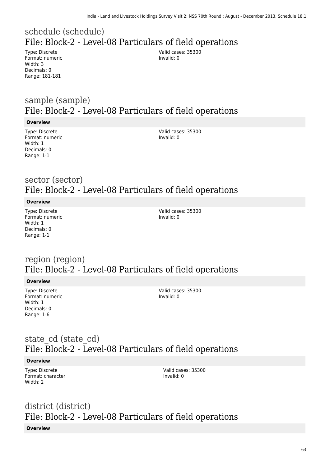# schedule (schedule) File: Block-2 - Level-08 Particulars of field operations

Type: Discrete Format: numeric Width: 3 Decimals: 0 Range: 181-181

Valid cases: 35300 Invalid: 0

# sample (sample) File: Block-2 - Level-08 Particulars of field operations

#### **Overview**

Type: Discrete Format: numeric Width: 1 Decimals: 0 Range: 1-1

Valid cases: 35300 Invalid: 0

# sector (sector) File: Block-2 - Level-08 Particulars of field operations

#### **Overview**

Type: Discrete Format: numeric Width: 1 Decimals: 0 Range: 1-1

Valid cases: 35300 Invalid: 0

# region (region) File: Block-2 - Level-08 Particulars of field operations

#### **Overview**

Type: Discrete Format: numeric Width: 1 Decimals: 0 Range: 1-6

Valid cases: 35300 Invalid: 0

# state\_cd (state\_cd) File: Block-2 - Level-08 Particulars of field operations

#### **Overview**

Type: Discrete Format: character Width: 2

Valid cases: 35300 Invalid: 0

# district (district) File: Block-2 - Level-08 Particulars of field operations

#### **Overview**

63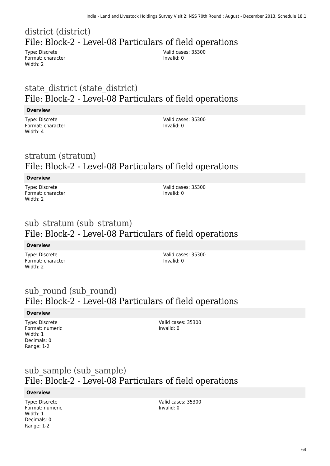# district (district) File: Block-2 - Level-08 Particulars of field operations

Type: Discrete Format: character Width: 2

Valid cases: 35300 Invalid: 0

# state district (state district) File: Block-2 - Level-08 Particulars of field operations

#### **Overview**

Type: Discrete Format: character Width: 4

Valid cases: 35300 Invalid: 0

# stratum (stratum) File: Block-2 - Level-08 Particulars of field operations

#### **Overview**

Type: Discrete Format: character Width: 2

Valid cases: 35300 Invalid: 0

# sub stratum (sub stratum) File: Block-2 - Level-08 Particulars of field operations

#### **Overview**

Type: Discrete Format: character Width: 2

Valid cases: 35300 Invalid: 0

# sub round (sub round) File: Block-2 - Level-08 Particulars of field operations

#### **Overview**

Type: Discrete Format: numeric Width: 1 Decimals: 0 Range: 1-2

Valid cases: 35300 Invalid: 0

# sub sample (sub sample) File: Block-2 - Level-08 Particulars of field operations

#### **Overview**

Type: Discrete Format: numeric Width: 1 Decimals: 0 Range: 1-2

Valid cases: 35300 Invalid: 0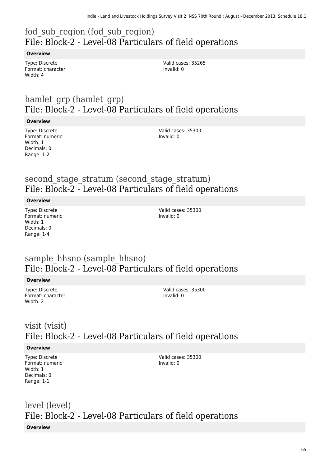# fod\_sub\_region (fod\_sub\_region) File: Block-2 - Level-08 Particulars of field operations

**Overview**

Type: Discrete Format: character Width: 4

Valid cases: 35265 Invalid: 0

# hamlet qrp (hamlet qrp) File: Block-2 - Level-08 Particulars of field operations

#### **Overview**

Type: Discrete Format: numeric Width: 1 Decimals: 0 Range: 1-2

Valid cases: 35300 Invalid: 0

# second stage stratum (second stage stratum) File: Block-2 - Level-08 Particulars of field operations

#### **Overview**

Type: Discrete Format: numeric Width: 1 Decimals: 0 Range: 1-4

Valid cases: 35300 Invalid: 0

## sample hhsno (sample hhsno) File: Block-2 - Level-08 Particulars of field operations

#### **Overview**

Type: Discrete Format: character Width: 2

Valid cases: 35300 Invalid: 0

# visit (visit) File: Block-2 - Level-08 Particulars of field operations

#### **Overview**

Type: Discrete Format: numeric Width: 1 Decimals: 0 Range: 1-1

Valid cases: 35300 Invalid: 0

## level (level) File: Block-2 - Level-08 Particulars of field operations **Overview**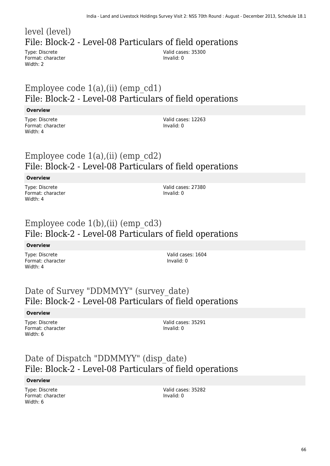# level (level) File: Block-2 - Level-08 Particulars of field operations

Type: Discrete Format: character Width: 2

Valid cases: 35300 Invalid: 0

# Employee code  $1(a)$ , (ii) (emp cd1) File: Block-2 - Level-08 Particulars of field operations

#### **Overview**

Type: Discrete Format: character Width: 4

Valid cases: 12263 Invalid: 0

# Employee code 1(a),(ii) (emp\_cd2) File: Block-2 - Level-08 Particulars of field operations

#### **Overview**

Type: Discrete Format: character Width: 4

Valid cases: 27380 Invalid: 0

# Employee code 1(b),(ii) (emp\_cd3) File: Block-2 - Level-08 Particulars of field operations

#### **Overview**

Type: Discrete Format: character Width: 4

Valid cases: 1604 Invalid: 0

# Date of Survey "DDMMYY" (survey\_date) File: Block-2 - Level-08 Particulars of field operations

#### **Overview**

Type: Discrete Format: character Width: 6

Valid cases: 35291 Invalid: 0

# Date of Dispatch "DDMMYY" (disp\_date) File: Block-2 - Level-08 Particulars of field operations

#### **Overview**

Type: Discrete Format: character Width: 6

Valid cases: 35282 Invalid: 0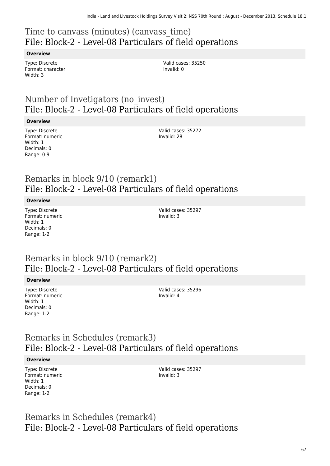# Time to canvass (minutes) (canvass\_time) File: Block-2 - Level-08 Particulars of field operations

**Overview**

Type: Discrete Format: character Width: 3

Valid cases: 35250 Invalid: 0

# Number of Invetigators (no\_invest) File: Block-2 - Level-08 Particulars of field operations

#### **Overview**

Type: Discrete Format: numeric Width: 1 Decimals: 0 Range: 0-9

Valid cases: 35272 Invalid: 28

# Remarks in block 9/10 (remark1) File: Block-2 - Level-08 Particulars of field operations

#### **Overview**

Type: Discrete Format: numeric Width: 1 Decimals: 0 Range: 1-2

Valid cases: 35297 Invalid: 3

## Remarks in block 9/10 (remark2) File: Block-2 - Level-08 Particulars of field operations

#### **Overview**

Type: Discrete Format: numeric Width: 1 Decimals: 0 Range: 1-2

Valid cases: 35296 Invalid: 4

# Remarks in Schedules (remark3) File: Block-2 - Level-08 Particulars of field operations

#### **Overview**

Type: Discrete Format: numeric Width: 1 Decimals: 0 Range: 1-2

Valid cases: 35297 Invalid: 3

Remarks in Schedules (remark4) File: Block-2 - Level-08 Particulars of field operations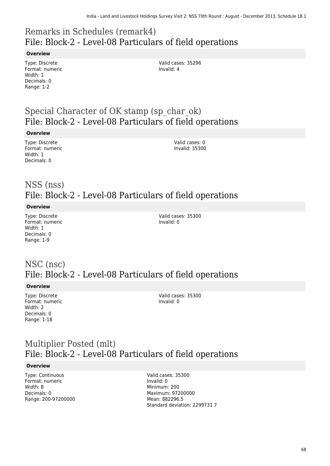# Remarks in Schedules (remark4) File: Block-2 - Level-08 Particulars of field operations

#### **Overview**

Type: Discrete Format: numeric Width: 1 Decimals: 0 Range: 1-2

Valid cases: 35296 Invalid: 4

# Special Character of OK stamp (sp\_char\_ok) File: Block-2 - Level-08 Particulars of field operations

#### **Overview**

Type: Discrete Format: numeric Width: 1 Decimals: 0

Valid cases: 0 Invalid: 35300

# NSS (nss) File: Block-2 - Level-08 Particulars of field operations

#### **Overview**

Type: Discrete Format: numeric Width: 1 Decimals: 0 Range: 1-9

Valid cases: 35300 Invalid: 0

# NSC (nsc) File: Block-2 - Level-08 Particulars of field operations

#### **Overview**

Type: Discrete Format: numeric Width: 2 Decimals: 0 Range: 1-18

Valid cases: 35300 Invalid: 0

# Multiplier Posted (mlt) File: Block-2 - Level-08 Particulars of field operations

#### **Overview**

Type: Continuous Format: numeric Width: 8 Decimals: 0 Range: 200-97200000

Valid cases: 35300 Invalid: 0 Minimum: 200 Maximum: 97200000 Mean: 882296.5 Standard deviation: 2299731.7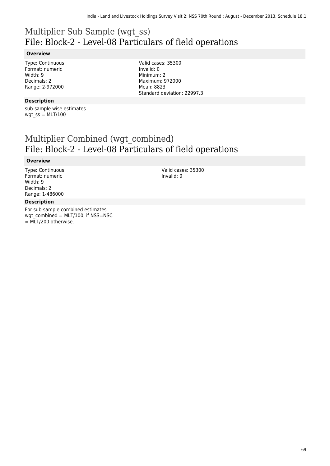# Multiplier Sub Sample (wgt\_ss) File: Block-2 - Level-08 Particulars of field operations

#### **Overview**

Type: Continuous Format: numeric Width: 9 Decimals: 2 Range: 2-972000

Valid cases: 35300 Invalid: 0 Minimum: 2 Maximum: 972000 Mean: 8823

#### **Description**

sub-sample wise estimates wgt $ss = MLT/100$ 

# Multiplier Combined (wgt\_combined) File: Block-2 - Level-08 Particulars of field operations

#### **Overview**

Type: Continuous Format: numeric Width: 9 Decimals: 2 Range: 1-486000

#### **Description**

For sub-sample combined estimates wgt\_combined =  $MLT/100$ , if NSS=NSC  $=$  MLT/200 otherwise.

Standard deviation: 22997.3

Valid cases: 35300 Invalid: 0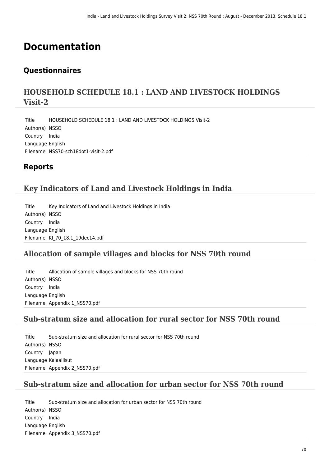# **Documentation**

## **Questionnaires**

## **HOUSEHOLD SCHEDULE 18.1 : LAND AND LIVESTOCK HOLDINGS Visit-2**

Title HOUSEHOLD SCHEDULE 18.1 : LAND AND LIVESTOCK HOLDINGS Visit-2 Author(s) NSSO Country India Language English Filename NSS70-sch18dot1-visit-2.pdf

## **Reports**

## **Key Indicators of Land and Livestock Holdings in India**

Title Key Indicators of Land and Livestock Holdings in India Author(s) NSSO Country India Language English Filename KI\_70\_18.1\_19dec14.pdf

## **Allocation of sample villages and blocks for NSS 70th round**

Title Allocation of sample villages and blocks for NSS 70th round Author(s) NSSO Country India Language English Filename Appendix 1 NSS70.pdf

## **Sub-stratum size and allocation for rural sector for NSS 70th round**

Title Sub-stratum size and allocation for rural sector for NSS 70th round Author(s) NSSO Country Japan Language Kalaallisut Filename Appendix 2\_NSS70.pdf

## **Sub-stratum size and allocation for urban sector for NSS 70th round**

Title Sub-stratum size and allocation for urban sector for NSS 70th round Author(s) NSSO Country India Language English Filename Appendix 3\_NSS70.pdf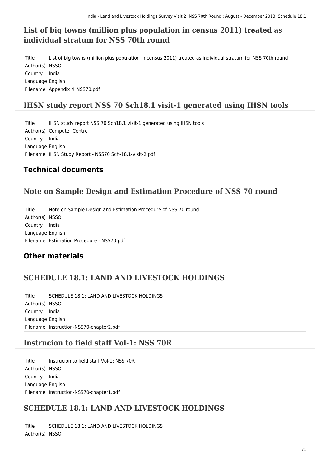## **List of big towns (million plus population in census 2011) treated as individual stratum for NSS 70th round**

Title List of big towns (million plus population in census 2011) treated as individual stratum for NSS 70th round Author(s) NSSO Country India Language English Filename Appendix 4\_NSS70.pdf

## **IHSN study report NSS 70 Sch18.1 visit-1 generated using IHSN tools**

Title IHSN study report NSS 70 Sch18.1 visit-1 generated using IHSN tools Author(s) Computer Centre Country India Language English Filename IHSN Study Report - NSS70 Sch-18.1-visit-2.pdf

# **Technical documents**

## **Note on Sample Design and Estimation Procedure of NSS 70 round**

Title Note on Sample Design and Estimation Procedure of NSS 70 round Author(s) NSSO Country India Language English Filename Estimation Procedure - NSS70.pdf

## **Other materials**

## **SCHEDULE 18.1: LAND AND LIVESTOCK HOLDINGS**

Title SCHEDULE 18.1: LAND AND LIVESTOCK HOLDINGS Author(s) NSSO Country India Language English Filename Instruction-NSS70-chapter2.pdf

## **Instrucion to field staff Vol-1: NSS 70R**

Title Instrucion to field staff Vol-1: NSS 70R Author(s) NSSO Country India Language English Filename Instruction-NSS70-chapter1.pdf

## **SCHEDULE 18.1: LAND AND LIVESTOCK HOLDINGS**

Title SCHEDULE 18.1: LAND AND LIVESTOCK HOLDINGS Author(s) NSSO